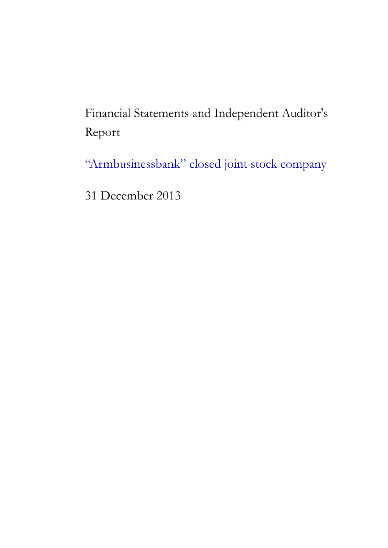Financial Statements and Independent Auditor's Report

"Armbusinessbank" closed joint stock company

31 December 2013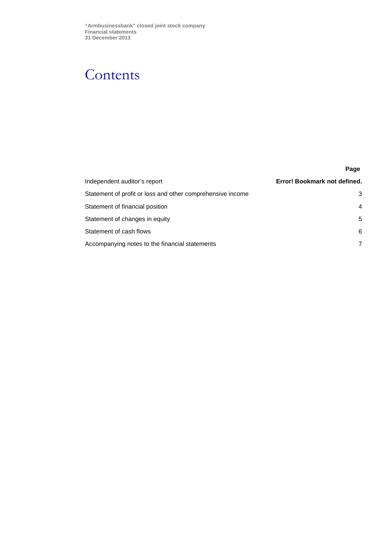## **Contents**

|                                                            | Page                         |
|------------------------------------------------------------|------------------------------|
| Independent auditor's report                               | Error! Bookmark not defined. |
| Statement of profit or loss and other comprehensive income | 3                            |
| Statement of financial position                            | 4                            |
| Statement of changes in equity                             | 5                            |
| Statement of cash flows                                    | 6                            |
| Accompanying notes to the financial statements             | 7                            |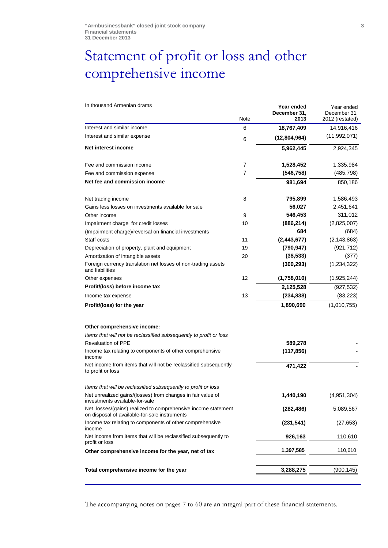## <span id="page-2-0"></span>Statement of profit or loss and other comprehensive income

| Note<br>Interest and similar income<br>6<br>Interest and similar expense<br>6<br>Net interest income<br>7<br>Fee and commission income<br>$\overline{7}$<br>Fee and commission expense<br>Net fee and commission income<br>8<br>Net trading income<br>Gains less losses on investments available for sale<br>9<br>Other income<br>10<br>Impairment charge for credit losses | December 31,<br>2013<br>18,767,409<br>(12,804,964)<br>5,962,445<br>1,528,452<br>(546, 758)<br>981,694<br>795,899<br>56,027<br>546,453 | December 31,<br>2012 (restated)<br>14,916,416<br>(11,992,071)<br>2,924,345<br>1,335,984<br>(485, 798)<br>850,186<br>1,586,493<br>2,451,641 |
|-----------------------------------------------------------------------------------------------------------------------------------------------------------------------------------------------------------------------------------------------------------------------------------------------------------------------------------------------------------------------------|---------------------------------------------------------------------------------------------------------------------------------------|--------------------------------------------------------------------------------------------------------------------------------------------|
|                                                                                                                                                                                                                                                                                                                                                                             |                                                                                                                                       |                                                                                                                                            |
|                                                                                                                                                                                                                                                                                                                                                                             |                                                                                                                                       |                                                                                                                                            |
|                                                                                                                                                                                                                                                                                                                                                                             |                                                                                                                                       |                                                                                                                                            |
|                                                                                                                                                                                                                                                                                                                                                                             |                                                                                                                                       |                                                                                                                                            |
|                                                                                                                                                                                                                                                                                                                                                                             |                                                                                                                                       |                                                                                                                                            |
|                                                                                                                                                                                                                                                                                                                                                                             |                                                                                                                                       |                                                                                                                                            |
|                                                                                                                                                                                                                                                                                                                                                                             |                                                                                                                                       |                                                                                                                                            |
|                                                                                                                                                                                                                                                                                                                                                                             |                                                                                                                                       |                                                                                                                                            |
|                                                                                                                                                                                                                                                                                                                                                                             |                                                                                                                                       |                                                                                                                                            |
|                                                                                                                                                                                                                                                                                                                                                                             |                                                                                                                                       | 311,012                                                                                                                                    |
|                                                                                                                                                                                                                                                                                                                                                                             | (886, 214)                                                                                                                            | (2,825,007)                                                                                                                                |
| (Impairment charge)/reversal on financial investments                                                                                                                                                                                                                                                                                                                       | 684                                                                                                                                   | (684)                                                                                                                                      |
| 11                                                                                                                                                                                                                                                                                                                                                                          | (2,443,677)                                                                                                                           | (2, 143, 863)                                                                                                                              |
| 19<br>Depreciation of property, plant and equipment                                                                                                                                                                                                                                                                                                                         | (790, 947)                                                                                                                            | (921, 712)                                                                                                                                 |
| Amortization of intangible assets<br>20                                                                                                                                                                                                                                                                                                                                     | (38, 533)                                                                                                                             | (377)                                                                                                                                      |
| Foreign currency translation net losses of non-trading assets<br>and liabilities                                                                                                                                                                                                                                                                                            | (300, 293)                                                                                                                            | (1,234,322)                                                                                                                                |
| 12<br>Other expenses                                                                                                                                                                                                                                                                                                                                                        | (1,758,010)                                                                                                                           | (1,925,244)                                                                                                                                |
| Profit/(loss) before income tax                                                                                                                                                                                                                                                                                                                                             | 2,125,528                                                                                                                             | (927, 532)                                                                                                                                 |
| 13<br>Income tax expense                                                                                                                                                                                                                                                                                                                                                    | (234, 838)                                                                                                                            | (83, 223)                                                                                                                                  |
| Profit/(loss) for the year                                                                                                                                                                                                                                                                                                                                                  | 1,890,690                                                                                                                             | (1,010,755)                                                                                                                                |
|                                                                                                                                                                                                                                                                                                                                                                             |                                                                                                                                       |                                                                                                                                            |
| Other comprehensive income:                                                                                                                                                                                                                                                                                                                                                 |                                                                                                                                       |                                                                                                                                            |
| Items that will not be reclassified subsequently to profit or loss                                                                                                                                                                                                                                                                                                          |                                                                                                                                       |                                                                                                                                            |
| <b>Revaluation of PPE</b>                                                                                                                                                                                                                                                                                                                                                   | 589,278                                                                                                                               |                                                                                                                                            |
| Income tax relating to components of other comprehensive                                                                                                                                                                                                                                                                                                                    | (117, 856)                                                                                                                            |                                                                                                                                            |
| Net income from items that will not be reclassified subsequently<br>to profit or loss                                                                                                                                                                                                                                                                                       | 471,422                                                                                                                               |                                                                                                                                            |
| Items that will be reclassified subsequently to profit or loss                                                                                                                                                                                                                                                                                                              |                                                                                                                                       |                                                                                                                                            |
| Net unrealized gains/(losses) from changes in fair value of<br>investments available-for-sale                                                                                                                                                                                                                                                                               | 1,440,190                                                                                                                             | (4,951,304)                                                                                                                                |
| Net losses/(gains) realized to comprehensive income statement<br>on disposal of available-for-sale instruments                                                                                                                                                                                                                                                              | (282, 486)                                                                                                                            | 5,089,567                                                                                                                                  |
| Income tax relating to components of other comprehensive                                                                                                                                                                                                                                                                                                                    | (231, 541)                                                                                                                            | (27, 653)                                                                                                                                  |
| Net income from items that will be reclassified subsequently to<br>profit or loss                                                                                                                                                                                                                                                                                           | 926,163                                                                                                                               | 110,610                                                                                                                                    |
| Other comprehensive income for the year, net of tax                                                                                                                                                                                                                                                                                                                         | 1,397,585                                                                                                                             | 110,610                                                                                                                                    |
| Total comprehensive income for the year                                                                                                                                                                                                                                                                                                                                     | 3,288,275                                                                                                                             | (900, 145)                                                                                                                                 |
|                                                                                                                                                                                                                                                                                                                                                                             |                                                                                                                                       |                                                                                                                                            |

The accompanying notes on pages 7 to 60 are an integral part of these financial statements.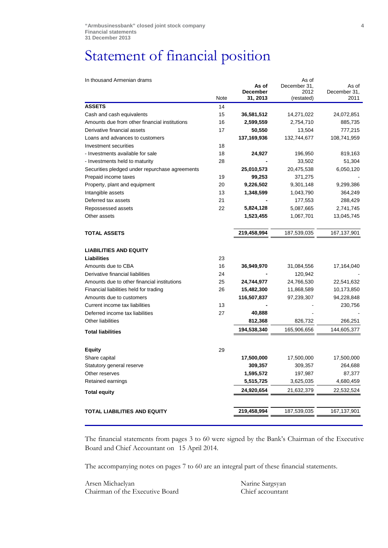## <span id="page-3-0"></span>Statement of financial position

| In thousand Armenian drams                     |      |                      | As of              |                      |
|------------------------------------------------|------|----------------------|--------------------|----------------------|
|                                                |      | As of                | December 31,       | As of                |
|                                                | Note | December<br>31, 2013 | 2012<br>(restated) | December 31,<br>2011 |
| <b>ASSETS</b>                                  | 14   |                      |                    |                      |
| Cash and cash equivalents                      | 15   | 36,581,512           | 14,271,022         | 24,072,851           |
| Amounts due from other financial institutions  | 16   | 2,599,559            | 2,754,710          | 885,735              |
| Derivative financial assets                    | 17   | 50,550               | 13,504             | 777,215              |
| Loans and advances to customers                |      | 137,169,936          | 132,744,677        | 108,741,959          |
| Investment securities                          | 18   |                      |                    |                      |
| - Investments available for sale               | 18   | 24,927               | 196,950            | 819,163              |
| - Investments held to maturity                 | 28   |                      | 33,502             | 51,304               |
| Securities pledged under repurchase agreements |      | 25,010,573           | 20,475,538         | 6,050,120            |
| Prepaid income taxes                           | 19   | 99,253               | 371,275            |                      |
| Property, plant and equipment                  | 20   | 9,226,502            | 9,301,148          | 9,299,386            |
| Intangible assets                              | 13   | 1,348,599            | 1,043,790          | 364,249              |
| Deferred tax assets                            | 21   |                      | 177,553            | 288,429              |
| Repossessed assets                             | 22   | 5,824,128            | 5,087,665          | 2,741,745            |
| Other assets                                   |      | 1,523,455            | 1,067,701          | 13,045,745           |
| <b>TOTAL ASSETS</b>                            |      | 219,458,994          | 187,539,035        | 167,137,901          |
|                                                |      |                      |                    |                      |
| <b>LIABILITIES AND EQUITY</b>                  |      |                      |                    |                      |
| <b>Liabilities</b>                             | 23   |                      |                    |                      |
| Amounts due to CBA                             | 16   | 36,949,970           | 31,084,556         | 17,164,040           |
| Derivative financial liabilities               | 24   |                      | 120,942            |                      |
| Amounts due to other financial institutions    | 25   | 24,744,977           | 24,766,530         | 22,541,632           |
| Financial liabilities held for trading         | 26   | 15,482,300           | 11,868,589         | 10,173,850           |
| Amounts due to customers                       |      | 116,507,837          | 97,239,307         | 94,228,848           |
| Current income tax liabilities                 | 13   |                      |                    | 230,756              |
| Deferred income tax liabilities                | 27   | 40,888               |                    |                      |
| Other liabilities                              |      | 812,368              | 826,732            | 266,251              |
| <b>Total liabilities</b>                       |      | 194,538,340          | 165,906,656        | 144,605,377          |
|                                                |      |                      |                    |                      |
| <b>Equity</b>                                  | 29   |                      |                    |                      |
| Share capital                                  |      | 17,500,000           | 17,500,000         | 17,500,000           |
| Statutory general reserve                      |      | 309,357              | 309,357            | 264,688              |
| Other reserves                                 |      | 1,595,572            | 197,987            | 87,377               |
| Retained earnings                              |      | 5,515,725            | 3,625,035          | 4,680,459            |
| <b>Total equity</b>                            |      | 24,920,654           | 21,632,379         | 22,532,524           |
| <b>TOTAL LIABILITIES AND EQUITY</b>            |      | 219,458,994          | 187,539,035        | 167,137,901          |
|                                                |      |                      |                    |                      |
|                                                |      |                      |                    |                      |

The financial statements from pages 3 to 60 were signed by the Bank's Chairman of the Executive Board and Chief Accountant on 15 April 2014.

The accompanying notes on pages 7 to 60 are an integral part of these financial statements.

Arsen Michaelyan Chairman of the Executive Board Narine Sargsyan Chief accountant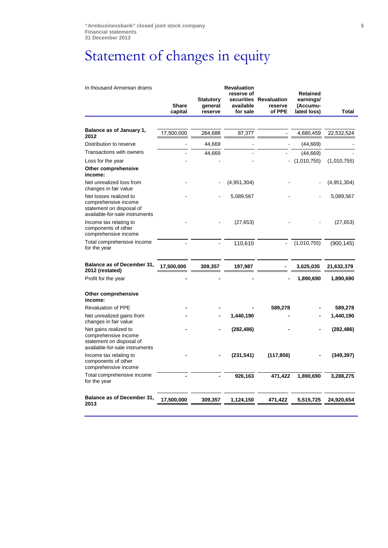# <span id="page-4-0"></span>Statement of changes in equity

| In thousand Armenian drams                                                                                   |                         |                                        | <b>Revaluation</b><br>reserve of |                                             | <b>Retained</b>                      |             |
|--------------------------------------------------------------------------------------------------------------|-------------------------|----------------------------------------|----------------------------------|---------------------------------------------|--------------------------------------|-------------|
|                                                                                                              | <b>Share</b><br>capital | <b>Statutory</b><br>general<br>reserve | available<br>for sale            | securities Revaluation<br>reserve<br>of PPE | earnings/<br>(Accumu-<br>lated loss) | Total       |
|                                                                                                              |                         |                                        |                                  |                                             |                                      |             |
| Balance as of January 1,<br>2012                                                                             | 17,500,000              | 264,688                                | 87,377                           |                                             | 4,680,459                            | 22,532,524  |
| Distribution to reserve                                                                                      |                         | 44,669                                 |                                  |                                             | (44, 669)                            |             |
| Transactions with owners                                                                                     |                         | 44,669                                 |                                  |                                             | (44, 669)                            |             |
| Loss for the year                                                                                            |                         |                                        |                                  |                                             | (1,010,755)                          | (1,010,755) |
| Other comprehensive<br>income:                                                                               |                         |                                        |                                  |                                             |                                      |             |
| Net unrealized loss from<br>changes in fair value                                                            |                         |                                        | (4,951,304)                      |                                             |                                      | (4,951,304) |
| Net losses realized to<br>comprehensive income<br>statement on disposal of<br>available-for-sale instruments |                         |                                        | 5,089,567                        |                                             |                                      | 5,089,567   |
| Income tax relating to<br>components of other<br>comprehensive income                                        |                         |                                        | (27, 653)                        |                                             |                                      | (27, 653)   |
| Total comprehensive income<br>for the year                                                                   |                         |                                        | 110,610                          |                                             | (1,010,755)                          | (900, 145)  |
| <b>Balance as of December 31,</b><br>2012 (restated)                                                         | 17,500,000              | 309,357                                | 197,987                          |                                             | 3,625,035                            | 21,632,379  |
| Profit for the year                                                                                          |                         |                                        |                                  |                                             | 1,890,690                            | 1,890,690   |
| Other comprehensive<br>income:                                                                               |                         |                                        |                                  |                                             |                                      |             |
| <b>Revaluation of PPE</b>                                                                                    |                         |                                        |                                  | 589,278                                     |                                      | 589,278     |
| Net unrealized gains from<br>changes in fair value                                                           |                         |                                        | 1,440,190                        |                                             |                                      | 1,440,190   |
| Net gains realized to<br>comprehensive income<br>statement on disposal of<br>available-for-sale instruments  |                         |                                        | (282, 486)                       |                                             |                                      | (282, 486)  |
| Income tax relating to<br>components of other<br>comprehensive income                                        |                         |                                        | (231, 541)                       | (117, 856)                                  |                                      | (349, 397)  |
| Total comprehensive income<br>for the year                                                                   |                         |                                        | 926,163                          | 471,422                                     | 1,890,690                            | 3,288,275   |
| <b>Balance as of December 31,</b><br>2013                                                                    | 17,500,000              | 309,357                                | 1,124,150                        | 471,422                                     | 5,515,725                            | 24,920,654  |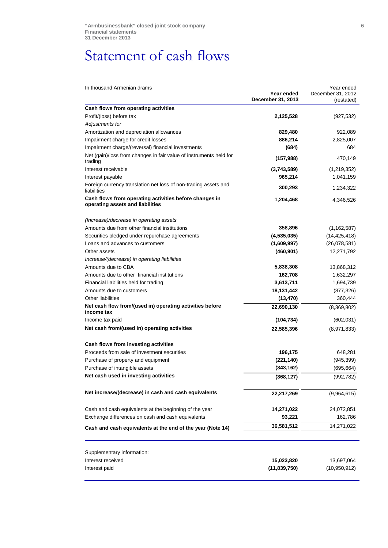## <span id="page-5-0"></span>Statement of cash flows

| In thousand Armenian drams |  |
|----------------------------|--|
|----------------------------|--|

| In thousand Armenian drams                                                                 |                                 | Year ended                      |
|--------------------------------------------------------------------------------------------|---------------------------------|---------------------------------|
|                                                                                            | Year ended<br>December 31, 2013 | December 31, 2012<br>(restated) |
| Cash flows from operating activities                                                       |                                 |                                 |
| Profit/(loss) before tax                                                                   | 2,125,528                       | (927, 532)                      |
| Adjustments for                                                                            |                                 |                                 |
| Amortization and depreciation allowances                                                   | 829,480                         | 922,089                         |
| Impairment charge for credit losses                                                        | 886,214                         | 2,825,007                       |
| Impairment charge/(reversal) financial investments                                         | (684)                           | 684                             |
| Net (gain)/loss from changes in fair value of instruments held for<br>trading              | (157, 988)                      | 470,149                         |
| Interest receivable                                                                        | (3,743,589)                     | (1,219,352)                     |
| Interest payable                                                                           | 965,214                         | 1,041,159                       |
| Foreign currency translation net loss of non-trading assets and<br>liabilities             | 300,293                         | 1,234,322                       |
| Cash flows from operating activities before changes in<br>operating assets and liabilities | 1,204,468                       | 4,346,526                       |
| (Increase)/decrease in operating assets                                                    |                                 |                                 |
| Amounts due from other financial institutions                                              | 358,896                         | (1, 162, 587)                   |
| Securities pledged under repurchase agreements                                             | (4,535,035)                     | (14, 425, 418)                  |
| Loans and advances to customers                                                            | (1,609,997)                     | (26,078,581)                    |
| Other assets                                                                               | (460, 901)                      | 12,271,792                      |
| Increase/(decrease) in operating liabilities                                               |                                 |                                 |
| Amounts due to CBA                                                                         | 5,838,308                       | 13,868,312                      |
| Amounts due to other financial institutions                                                | 162,708                         | 1,632,297                       |
| Financial liabilities held for trading                                                     | 3,613,711                       | 1,694,739                       |
| Amounts due to customers                                                                   | 18,131,442                      | (877, 326)                      |
| <b>Other liabilities</b>                                                                   | (13, 470)                       | 360,444                         |
| Net cash flow from/(used in) operating activities before<br>income tax                     | 22,690,130                      | (8,369,802)                     |
| Income tax paid                                                                            | (104, 734)                      | (602, 031)                      |
| Net cash from/(used in) operating activities                                               | 22,585,396                      | (8,971,833)                     |
| Cash flows from investing activities                                                       |                                 |                                 |
| Proceeds from sale of investment securities                                                | 196,175                         | 648,281                         |
| Purchase of property and equipment                                                         | (221, 140)                      | (945, 399)                      |
| Purchase of intangible assets                                                              | (343, 162)                      | (695, 664)                      |
| Net cash used in investing activities                                                      | (368, 127)                      | (992, 782)                      |
| Net increase/(decrease) in cash and cash equivalents                                       | 22,217,269                      | (9,964,615)                     |
| Cash and cash equivalents at the beginning of the year                                     | 14,271,022                      | 24,072,851                      |
| Exchange differences on cash and cash equivalents                                          | 93,221                          | 162,786                         |
| Cash and cash equivalents at the end of the year (Note 14)                                 | 36,581,512                      | 14,271,022                      |
|                                                                                            |                                 |                                 |
| Supplementary information:                                                                 |                                 |                                 |
| Interest received                                                                          | 15,023,820                      | 13,697,064                      |
| Interest paid                                                                              | (11, 839, 750)                  | (10, 950, 912)                  |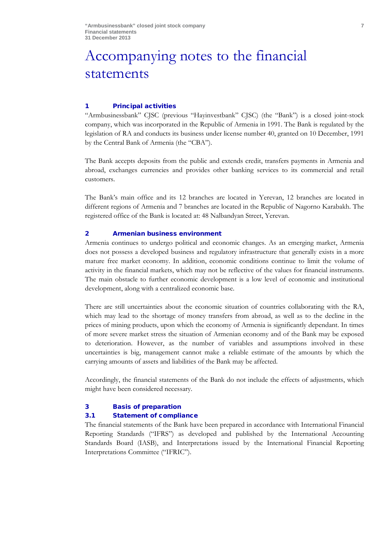## <span id="page-6-0"></span>Accompanying notes to the financial statements

## 1 Principal activities

"Armbusinessbank" CJSC (previous "Hayinvestbank" CJSC) (the "Bank") is a closed joint-stock company, which was incorporated in the Republic of Armenia in 1991. The Bank is regulated by the legislation of RA and conducts its business under license number 40, granted on 10 December, 1991 by the Central Bank of Armenia (the "CBA").

The Bank accepts deposits from the public and extends credit, transfers payments in Armenia and abroad, exchanges currencies and provides other banking services to its commercial and retail customers.

The Bank's main office and its 12 branches are located in Yerevan, 12 branches are located in different regions of Armenia and 7 branches are located in the Republic of Nagorno Karabakh. The registered office of the Bank is located at: 48 Nalbandyan Street, Yerevan.

## 2 Armenian business environment

Armenia continues to undergo political and economic changes. As an emerging market, Armenia does not possess a developed business and regulatory infrastructure that generally exists in a more mature free market economy. In addition, economic conditions continue to limit the volume of activity in the financial markets, which may not be reflective of the values for financial instruments. The main obstacle to further economic development is a low level of economic and institutional development, along with a centralized economic base.

There are still uncertainties about the economic situation of countries collaborating with the RA, which may lead to the shortage of money transfers from abroad, as well as to the decline in the prices of mining products, upon which the economy of Armenia is significantly dependant. In times of more severe market stress the situation of Armenian economy and of the Bank may be exposed to deterioration. However, as the number of variables and assumptions involved in these uncertainties is big, management cannot make a reliable estimate of the amounts by which the carrying amounts of assets and liabilities of the Bank may be affected.

Accordingly, the financial statements of the Bank do not include the effects of adjustments, which might have been considered necessary.

#### 3 Basis of preparation

## 3.1 Statement of compliance

The financial statements of the Bank have been prepared in accordance with International Financial Reporting Standards ("IFRS") as developed and published by the International Accounting Standards Board (IASB), and Interpretations issued by the International Financial Reporting Interpretations Committee ("IFRIC").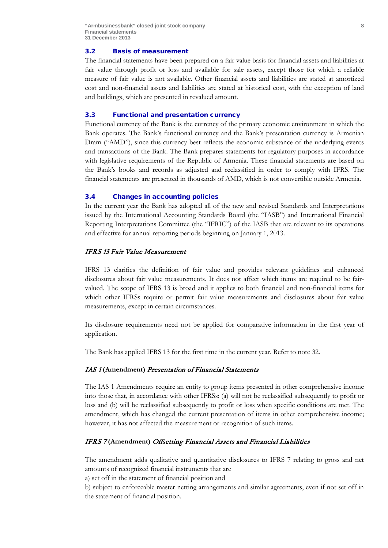## 3.2 Basis of measurement

The financial statements have been prepared on a fair value basis for financial assets and liabilities at fair value through profit or loss and available for sale assets, except those for which a reliable measure of fair value is not available. Other financial assets and liabilities are stated at amortized cost and non-financial assets and liabilities are stated at historical cost, with the exception of land and buildings, which are presented in revalued amount.

#### 3.3 Functional and presentation currency

Functional currency of the Bank is the currency of the primary economic environment in which the Bank operates. The Bank's functional currency and the Bank's presentation currency is Armenian Dram ("AMD"), since this currency best reflects the economic substance of the underlying events and transactions of the Bank. The Bank prepares statements for regulatory purposes in accordance with legislative requirements of the Republic of Armenia. These financial statements are based on the Bank's books and records as adjusted and reclassified in order to comply with IFRS. The financial statements are presented in thousands of AMD, which is not convertible outside Armenia.

#### 3.4 Changes in accounting policies

In the current year the Bank has adopted all of the new and revised Standards and Interpretations issued by the International Accounting Standards Board (the "IASB") and International Financial Reporting Interpretations Committee (the "IFRIC") of the IASB that are relevant to its operations and effective for annual reporting periods beginning on January 1, 2013.

### IFRS 13 Fair Value Measurement

IFRS 13 clarifies the definition of fair value and provides relevant guidelines and enhanced disclosures about fair value measurements. It does not affect which items are required to be fairvalued. The scope of IFRS 13 is broad and it applies to both financial and non-financial items for which other IFRSs require or permit fair value measurements and disclosures about fair value measurements, except in certain circumstances.

Its disclosure requirements need not be applied for comparative information in the first year of application.

The Bank has applied IFRS 13 for the first time in the current year. Refer to note 32.

#### IAS 1 **(Amendment)** Presentation of Financial Statements

The IAS 1 Amendments require an entity to group items presented in other comprehensive income into those that, in accordance with other IFRSs: (a) will not be reclassified subsequently to profit or loss and (b) will be reclassified subsequently to profit or loss when specific conditions are met. The amendment, which has changed the current presentation of items in other comprehensive income; however, it has not affected the measurement or recognition of such items.

## IFRS 7 **(Amendment)** Offsetting Financial Assets and Financial Liabilities

The amendment adds qualitative and quantitative disclosures to IFRS 7 relating to gross and net amounts of recognized financial instruments that are

a) set off in the statement of financial position and

b) subject to enforceable master netting arrangements and similar agreements, even if not set off in the statement of financial position.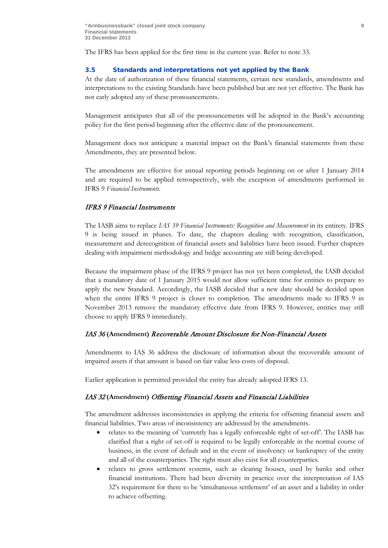The IFRS has been applied for the first time in the current year. Refer to note 33.

## 3.5 Standards and interpretations not yet applied by the Bank

At the date of authorization of these financial statements, certain new standards, amendments and interpretations to the existing Standards have been published but are not yet effective. The Bank has not early adopted any of these pronouncements.

Management anticipates that all of the pronouncements will be adopted in the Bank's accounting policy for the first period beginning after the effective date of the pronouncement.

Management does not anticipate a material impact on the Bank's financial statements from these Amendments, they are presented below.

The amendments are effective for annual reporting periods beginning on or after 1 January 2014 and are required to be applied retrospectively, with the exception of amendments performed in IFRS 9 *Financial Instruments.*

## IFRS 9 Financial Instruments

The IASB aims to replace *IAS 39 Financial Instruments: Recognition and Measurement* in its entirety. IFRS 9 is being issued in phases. To date, the chapters dealing with recognition, classification, measurement and derecognition of financial assets and liabilities have been issued. Further chapters dealing with impairment methodology and hedge accounting are still being developed.

Because the impairment phase of the IFRS 9 project has not yet been completed, the IASB decided that a mandatory date of 1 January 2015 would not allow sufficient time for entities to prepare to apply the new Standard. Accordingly, the IASB decided that a new date should be decided upon when the entire IFRS 9 project is closer to completion. The amendments made to IFRS 9 in November 2013 remove the mandatory effective date from IFRS 9. However, entities may still choose to apply IFRS 9 immediately.

#### IAS 36 **(Amendment)** Recoverable Аmount Disclosure for Non-Financial Assets

Amendments to IAS 36 address the disclosure of information about the recoverable amount of impaired assets if that amount is based on fair value less costs of disposal.

Earlier application is permitted provided the entity has already adopted IFRS 13.

## IAS 32 **(Amendment)** Offsetting Financial Assets and Financial Liabilities

The amendment addresses inconsistencies in applying the criteria for offsetting financial assets and financial liabilities. Two areas of inconsistency are addressed by the amendments.

- relates to the meaning of 'currently has a legally enforceable right of set-off'. The IASB has clarified that a right of set-off is required to be legally enforceable in the normal course of business, in the event of default and in the event of insolvency or bankruptcy of the entity and all of the counterparties. The right must also exist for all counterparties.
- relates to gross settlement systems, such as clearing houses, used by banks and other financial institutions. There had been diversity in practice over the interpretation of IAS 32's requirement for there to be 'simultaneous settlement' of an asset and a liability in order to achieve offsetting.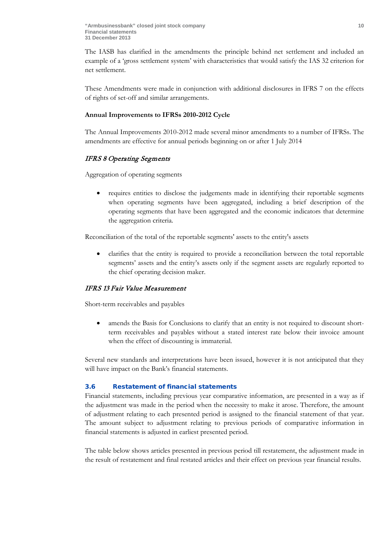The IASB has clarified in the amendments the principle behind net settlement and included an example of a 'gross settlement system' with characteristics that would satisfy the IAS 32 criterion for net settlement.

These Amendments were made in conjunction with additional disclosures in IFRS 7 on the effects of rights of set-off and similar arrangements.

## **Annual Improvements to IFRSs 2010-2012 Cycle**

The Annual Improvements 2010-2012 made several minor amendments to a number of IFRSs. The amendments are effective for annual periods beginning on or after 1 July 2014

## IFRS 8 Operating Segments

Aggregation of operating segments

• requires entities to disclose the judgements made in identifying their reportable segments when operating segments have been aggregated, including a brief description of the operating segments that have been aggregated and the economic indicators that determine the aggregation criteria.

Reconciliation of the total of the reportable segments' assets to the entity's assets

• clarifies that the entity is required to provide a reconciliation between the total reportable segments' assets and the entity's assets only if the segment assets are regularly reported to the chief operating decision maker.

## IFRS 13 Fair Value Measurement

Short-term receivables and payables

• amends the Basis for Conclusions to clarify that an entity is not required to discount shortterm receivables and payables without a stated interest rate below their invoice amount when the effect of discounting is immaterial.

Several new standards and interpretations have been issued, however it is not anticipated that they will have impact on the Bank's financial statements.

## 3.6 Restatement of financial statements

Financial statements, including previous year comparative information, are presented in a way as if the adjustment was made in the period when the necessity to make it arose. Therefore, the amount of adjustment relating to each presented period is assigned to the financial statement of that year. The amount subject to adjustment relating to previous periods of comparative information in financial statements is adjusted in earliest presented period.

The table below shows articles presented in previous period till restatement, the adjustment made in the result of restatement and final restated articles and their effect on previous year financial results.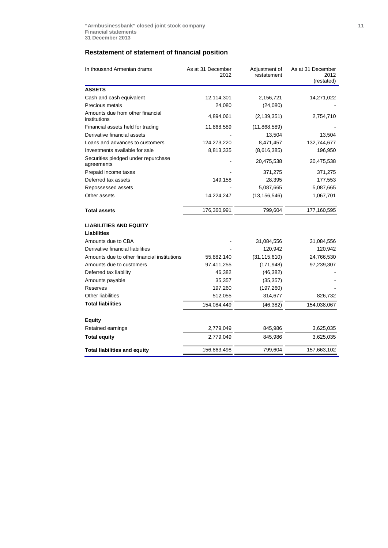## **Restatement of statement of financial position**

| In thousand Armenian drams                        | As at 31 December<br>2012 | Adjustment of<br>restatement | As at 31 December<br>2012<br>(restated) |
|---------------------------------------------------|---------------------------|------------------------------|-----------------------------------------|
| <b>ASSETS</b>                                     |                           |                              |                                         |
| Cash and cash equivalent                          | 12,114,301                | 2,156,721                    | 14,271,022                              |
| Precious metals                                   | 24,080                    | (24,080)                     |                                         |
| Amounts due from other financial<br>institutions  | 4,894,061                 | (2, 139, 351)                | 2,754,710                               |
| Financial assets held for trading                 | 11,868,589                | (11,868,589)                 |                                         |
| Derivative financial assets                       |                           | 13,504                       | 13,504                                  |
| Loans and advances to customers                   | 124,273,220               | 8,471,457                    | 132,744,677                             |
| Investments available for sale                    | 8,813,335                 | (8,616,385)                  | 196,950                                 |
| Securities pledged under repurchase<br>agreements |                           | 20,475,538                   | 20,475,538                              |
| Prepaid income taxes                              |                           | 371,275                      | 371,275                                 |
| Deferred tax assets                               | 149,158                   | 28,395                       | 177,553                                 |
| Repossessed assets                                |                           | 5,087,665                    | 5,087,665                               |
| Other assets                                      | 14,224,247                | (13, 156, 546)               | 1,067,701                               |
| <b>Total assets</b>                               | 176,360,991               | 799,604                      | 177,160,595                             |
| <b>LIABILITIES AND EQUITY</b>                     |                           |                              |                                         |
| <b>Liabilities</b>                                |                           |                              |                                         |
| Amounts due to CBA                                |                           | 31,084,556                   | 31,084,556                              |
| Derivative financial liabilities                  |                           | 120,942                      | 120,942                                 |
| Amounts due to other financial institutions       | 55,882,140                | (31, 115, 610)               | 24,766,530                              |
| Amounts due to customers                          | 97,411,255                | (171, 948)                   | 97,239,307                              |
| Deferred tax liability                            | 46,382                    | (46, 382)                    |                                         |
| Amounts payable                                   | 35,357                    | (35, 357)                    |                                         |
| Reserves                                          | 197,260                   | (197, 260)                   |                                         |
| <b>Other liabilities</b>                          | 512,055                   | 314,677                      | 826,732                                 |
| <b>Total liabilities</b>                          | 154,084,449               | (46,382)                     | 154,038,067                             |
| <b>Equity</b>                                     |                           |                              |                                         |
| Retained earnings                                 | 2,779,049                 | 845,986                      | 3,625,035                               |
| <b>Total equity</b>                               | 2,779,049                 | 845,986                      | 3,625,035                               |
| <b>Total liabilities and equity</b>               | 156,863,498               | 799,604                      | 157,663,102                             |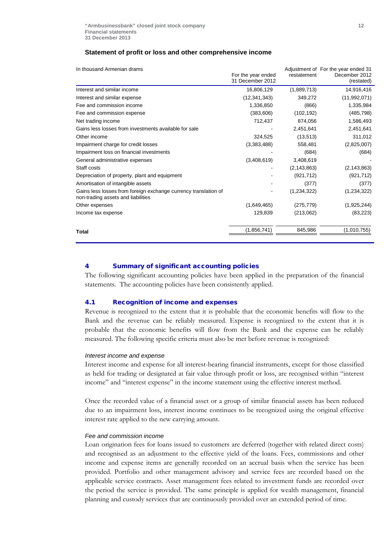## **Statement of profit or loss and other comprehensive income**

| In thousand Armenian drams                                                                            | For the year ended<br>31 December 2012 | restatement   | Adjustment of For the year ended 31<br>December 2012<br>(restated) |
|-------------------------------------------------------------------------------------------------------|----------------------------------------|---------------|--------------------------------------------------------------------|
| Interest and similar income                                                                           | 16,806,129                             | (1,889,713)   | 14,916,416                                                         |
| Interest and similar expense                                                                          | (12, 341, 343)                         | 349,272       | (11,992,071)                                                       |
| Fee and commission income                                                                             | 1,336,850                              | (866)         | 1,335,984                                                          |
| Fee and commission expense                                                                            | (383, 606)                             | (102, 192)    | (485, 798)                                                         |
| Net trading income                                                                                    | 712,437                                | 874,056       | 1,586,493                                                          |
| Gains less losses from investments available for sale                                                 |                                        | 2,451,641     | 2,451,641                                                          |
| Other income                                                                                          | 324,525                                | (13, 513)     | 311,012                                                            |
| Impairment charge for credit losses                                                                   | (3,383,488)                            | 558,481       | (2,825,007)                                                        |
| Impairment loss on financial investments                                                              |                                        | (684)         | (684)                                                              |
| General administrative expenses                                                                       | (3,408,619)                            | 3,408,619     |                                                                    |
| Staff costs                                                                                           |                                        | (2, 143, 863) | (2, 143, 863)                                                      |
| Depreciation of property, plant and equipment                                                         |                                        | (921, 712)    | (921, 712)                                                         |
| Amortisation of intangible assets                                                                     |                                        | (377)         | (377)                                                              |
| Gains less losses from foreign exchange currency translation of<br>non-trading assets and liabilities |                                        | (1, 234, 322) | (1,234,322)                                                        |
| Other expenses                                                                                        | (1,649,465)                            | (275, 779)    | (1,925,244)                                                        |
| Income tax expense                                                                                    | 129,839                                | (213,062)     | (83, 223)                                                          |
| Total                                                                                                 | (1,856,741)                            | 845,986       | (1,010,755)                                                        |

#### 4 Summary of significant accounting policies

The following significant accounting policies have been applied in the preparation of the financial statements. The accounting policies have been consistently applied.

## 4.1 Recognition of income and expenses

Revenue is recognized to the extent that it is probable that the economic benefits will flow to the Bank and the revenue can be reliably measured. Expense is recognized to the extent that it is probable that the economic benefits will flow from the Bank and the expense can be reliably measured. The following specific criteria must also be met before revenue is recognized:

#### *Interest income and expense*

Interest income and expense for all interest-bearing financial instruments, except for those classified as held for trading or designated at fair value through profit or loss, are recognised within "interest income" and "interest expense" in the income statement using the effective interest method.

Once the recorded value of a financial asset or a group of similar financial assets has been reduced due to an impairment loss, interest income continues to be recognized using the original effective interest rate applied to the new carrying amount.

#### *Fee and commission income*

Loan origination fees for loans issued to customers are deferred (together with related direct costs) and recognised as an adjustment to the effective yield of the loans. Fees, commissions and other income and expense items are generally recorded on an accrual basis when the service has been provided. Portfolio and other management advisory and service fees are recorded based on the applicable service contracts. Asset management fees related to investment funds are recorded over the period the service is provided. The same principle is applied for wealth management, financial planning and custody services that are continuously provided over an extended period of time.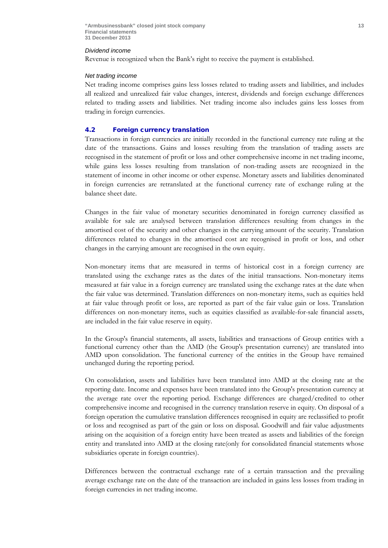#### *Dividend income*

Revenue is recognized when the Bank's right to receive the payment is established.

#### *Net trading income*

Net trading income comprises gains less losses related to trading assets and liabilities, and includes all realized and unrealized fair value changes, interest, dividends and foreign exchange differences related to trading assets and liabilities. Net trading income also includes gains less losses from trading in foreign currencies.

#### 4.2 Foreign currency translation

Transactions in foreign currencies are initially recorded in the functional currency rate ruling at the date of the transactions. Gains and losses resulting from the translation of trading assets are recognised in the statement of profit or loss and other comprehensive income in net trading income, while gains less losses resulting from translation of non-trading assets are recognized in the statement of income in other income or other expense. Monetary assets and liabilities denominated in foreign currencies are retranslated at the functional currency rate of exchange ruling at the balance sheet date.

Changes in the fair value of monetary securities denominated in foreign currency classified as available for sale are analysed between translation differences resulting from changes in the amortised cost of the security and other changes in the carrying amount of the security. Translation differences related to changes in the amortised cost are recognised in profit or loss, and other changes in the carrying amount are recognised in the own equity.

Non-monetary items that are measured in terms of historical cost in a foreign currency are translated using the exchange rates as the dates of the initial transactions. Non-monetary items measured at fair value in a foreign currency are translated using the exchange rates at the date when the fair value was determined. Translation differences on non-monetary items, such as equities held at fair value through profit or loss, are reported as part of the fair value gain or loss. Translation differences on non-monetary items, such as equities classified as available-for-sale financial assets, are included in the fair value reserve in equity.

In the Group's financial statements, all assets, liabilities and transactions of Group entities with a functional currency other than the AMD (the Group's presentation currency) are translated into AMD upon consolidation. The functional currency of the entities in the Group have remained unchanged during the reporting period.

On consolidation, assets and liabilities have been translated into AMD at the closing rate at the reporting date. Income and expenses have been translated into the Group's presentation currency at the average rate over the reporting period. Exchange differences are charged/credited to other comprehensive income and recognised in the currency translation reserve in equity. On disposal of a foreign operation the cumulative translation differences recognised in equity are reclassified to profit or loss and recognised as part of the gain or loss on disposal. Goodwill and fair value adjustments arising on the acquisition of a foreign entity have been treated as assets and liabilities of the foreign entity and translated into AMD at the closing rate(only for consolidated financial statements whose subsidiaries operate in foreign countries).

Differences between the contractual exchange rate of a certain transaction and the prevailing average exchange rate on the date of the transaction are included in gains less losses from trading in foreign currencies in net trading income.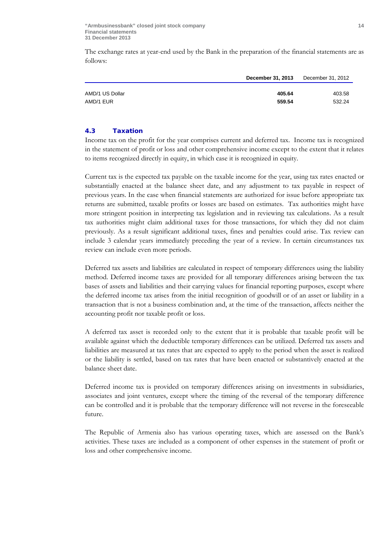The exchange rates at year-end used by the Bank in the preparation of the financial statements are as follows:

|                 | December 31, 2013 | December 31, 2012 |
|-----------------|-------------------|-------------------|
|                 |                   |                   |
| AMD/1 US Dollar | 405.64            | 403.58            |
| AMD/1 EUR       | 559.54            | 532.24            |

## 4.3 Taxation

Income tax on the profit for the year comprises current and deferred tax. Income tax is recognized in the statement of profit or loss and other comprehensive income except to the extent that it relates to items recognized directly in equity, in which case it is recognized in equity.

Current tax is the expected tax payable on the taxable income for the year, using tax rates enacted or substantially enacted at the balance sheet date, and any adjustment to tax payable in respect of previous years. In the case when financial statements are authorized for issue before appropriate tax returns are submitted, taxable profits or losses are based on estimates. Tax authorities might have more stringent position in interpreting tax legislation and in reviewing tax calculations. As a result tax authorities might claim additional taxes for those transactions, for which they did not claim previously. As a result significant additional taxes, fines and penalties could arise. Tax review can include 3 calendar years immediately preceding the year of a review. In certain circumstances tax review can include even more periods.

Deferred tax assets and liabilities are calculated in respect of temporary differences using the liability method. Deferred income taxes are provided for all temporary differences arising between the tax bases of assets and liabilities and their carrying values for financial reporting purposes, except where the deferred income tax arises from the initial recognition of goodwill or of an asset or liability in a transaction that is not a business combination and, at the time of the transaction, affects neither the accounting profit nor taxable profit or loss.

A deferred tax asset is recorded only to the extent that it is probable that taxable profit will be available against which the deductible temporary differences can be utilized. Deferred tax assets and liabilities are measured at tax rates that are expected to apply to the period when the asset is realized or the liability is settled, based on tax rates that have been enacted or substantively enacted at the balance sheet date.

Deferred income tax is provided on temporary differences arising on investments in subsidiaries, associates and joint ventures, except where the timing of the reversal of the temporary difference can be controlled and it is probable that the temporary difference will not reverse in the foreseeable future.

The Republic of Armenia also has various operating taxes, which are assessed on the Bank's activities. These taxes are included as a component of other expenses in the statement of profit or loss and other comprehensive income.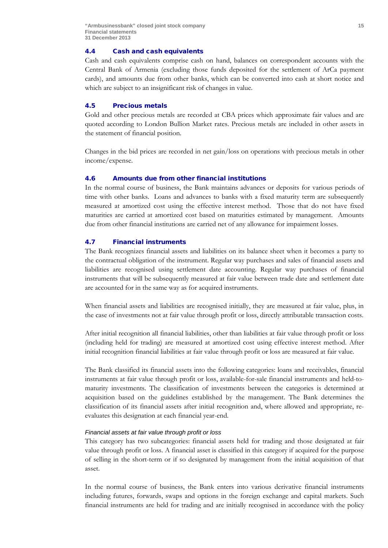#### 4.4 Cash and cash equivalents

Cash and cash equivalents comprise cash on hand, balances on correspondent accounts with the Central Bank of Armenia (excluding those funds deposited for the settlement of ArCa payment cards), and amounts due from other banks, which can be converted into cash at short notice and which are subject to an insignificant risk of changes in value.

### 4.5 Precious metals

Gold and other precious metals are recorded at CBA prices which approximate fair values and are quoted according to London Bullion Market rates. Precious metals are included in other assets in the statement of financial position.

Changes in the bid prices are recorded in net gain/loss on operations with precious metals in other income/expense.

#### 4.6 Amounts due from other financial institutions

In the normal course of business, the Bank maintains advances or deposits for various periods of time with other banks. Loans and advances to banks with a fixed maturity term are subsequently measured at amortized cost using the effective interest method. Those that do not have fixed maturities are carried at amortized cost based on maturities estimated by management. Amounts due from other financial institutions are carried net of any allowance for impairment losses.

## 4.7 Financial instruments

The Bank recognizes financial assets and liabilities on its balance sheet when it becomes a party to the contractual obligation of the instrument. Regular way purchases and sales of financial assets and liabilities are recognised using settlement date accounting. Regular way purchases of financial instruments that will be subsequently measured at fair value between trade date and settlement date are accounted for in the same way as for acquired instruments.

When financial assets and liabilities are recognised initially, they are measured at fair value, plus, in the case of investments not at fair value through profit or loss, directly attributable transaction costs.

After initial recognition all financial liabilities, other than liabilities at fair value through profit or loss (including held for trading) are measured at amortized cost using effective interest method. After initial recognition financial liabilities at fair value through profit or loss are measured at fair value.

The Bank classified its financial assets into the following categories: loans and receivables, financial instruments at fair value through profit or loss, available-for-sale financial instruments and held-tomaturity investments. The classification of investments between the categories is determined at acquisition based on the guidelines established by the management. The Bank determines the classification of its financial assets after initial recognition and, where allowed and appropriate, reevaluates this designation at each financial year-end.

#### *Financial assets at fair value through profit or loss*

This category has two subcategories: financial assets held for trading and those designated at fair value through profit or loss. A financial asset is classified in this category if acquired for the purpose of selling in the short-term or if so designated by management from the initial acquisition of that asset.

In the normal course of business, the Bank enters into various derivative financial instruments including futures, forwards, swaps and options in the foreign exchange and capital markets. Such financial instruments are held for trading and are initially recognised in accordance with the policy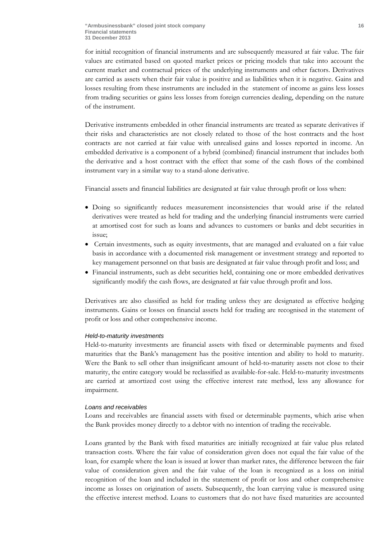for initial recognition of financial instruments and are subsequently measured at fair value. The fair values are estimated based on quoted market prices or pricing models that take into account the current market and contractual prices of the underlying instruments and other factors. Derivatives are carried as assets when their fair value is positive and as liabilities when it is negative. Gains and losses resulting from these instruments are included in the statement of income as gains less losses from trading securities or gains less losses from foreign currencies dealing, depending on the nature of the instrument.

Derivative instruments embedded in other financial instruments are treated as separate derivatives if their risks and characteristics are not closely related to those of the host contracts and the host contracts are not carried at fair value with unrealised gains and losses reported in income. An embedded derivative is a component of a hybrid (combined) financial instrument that includes both the derivative and a host contract with the effect that some of the cash flows of the combined instrument vary in a similar way to a stand-alone derivative.

Financial assets and financial liabilities are designated at fair value through profit or loss when:

- Doing so significantly reduces measurement inconsistencies that would arise if the related derivatives were treated as held for trading and the underlying financial instruments were carried at amortised cost for such as loans and advances to customers or banks and debt securities in issue;
- Certain investments, such as equity investments, that are managed and evaluated on a fair value basis in accordance with a documented risk management or investment strategy and reported to key management personnel on that basis are designated at fair value through profit and loss; and
- Financial instruments, such as debt securities held, containing one or more embedded derivatives significantly modify the cash flows, are designated at fair value through profit and loss.

Derivatives are also classified as held for trading unless they are designated as effective hedging instruments. Gains or losses on financial assets held for trading are recognised in the statement of profit or loss and other comprehensive income.

#### *Held-to-maturity investments*

Held-to-maturity investments are financial assets with fixed or determinable payments and fixed maturities that the Bank's management has the positive intention and ability to hold to maturity. Were the Bank to sell other than insignificant amount of held-to-maturity assets not close to their maturity, the entire category would be reclassified as available-for-sale. Held-to-maturity investments are carried at amortized cost using the effective interest rate method, less any allowance for impairment.

#### *Loans and receivables*

Loans and receivables are financial assets with fixed or determinable payments, which arise when the Bank provides money directly to a debtor with no intention of trading the receivable.

Loans granted by the Bank with fixed maturities are initially recognized at fair value plus related transaction costs. Where the fair value of consideration given does not equal the fair value of the loan, for example where the loan is issued at lower than market rates, the difference between the fair value of consideration given and the fair value of the loan is recognized as a loss on initial recognition of the loan and included in the statement of profit or loss and other comprehensive income as losses on origination of assets. Subsequently, the loan carrying value is measured using the effective interest method. Loans to customers that do not have fixed maturities are accounted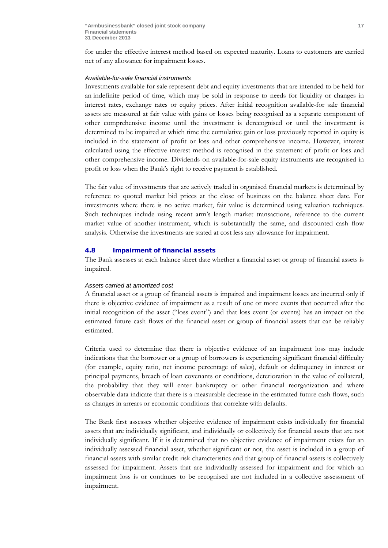for under the effective interest method based on expected maturity. Loans to customers are carried net of any allowance for impairment losses.

#### *Available-for-sale financial instruments*

Investments available for sale represent debt and equity investments that are intended to be held for an indefinite period of time, which may be sold in response to needs for liquidity or changes in interest rates, exchange rates or equity prices. After initial recognition available-for sale financial assets are measured at fair value with gains or losses being recognised as a separate component of other comprehensive income until the investment is derecognised or until the investment is determined to be impaired at which time the cumulative gain or loss previously reported in equity is included in the statement of profit or loss and other comprehensive income. However, interest calculated using the effective interest method is recognised in the statement of profit or loss and other comprehensive income. Dividends on available-for-sale equity instruments are recognised in profit or loss when the Bank's right to receive payment is established.

The fair value of investments that are actively traded in organised financial markets is determined by reference to quoted market bid prices at the close of business on the balance sheet date. For investments where there is no active market, fair value is determined using valuation techniques. Such techniques include using recent arm's length market transactions, reference to the current market value of another instrument, which is substantially the same, and discounted cash flow analysis. Otherwise the investments are stated at cost less any allowance for impairment.

#### 4.8 Impairment of financial assets

The Bank assesses at each balance sheet date whether a financial asset or group of financial assets is impaired.

#### *Assets carried at amortized cost*

A financial asset or a group of financial assets is impaired and impairment losses are incurred only if there is objective evidence of impairment as a result of one or more events that occurred after the initial recognition of the asset ("loss event") and that loss event (or events) has an impact on the estimated future cash flows of the financial asset or group of financial assets that can be reliably estimated.

Criteria used to determine that there is objective evidence of an impairment loss may include indications that the borrower or a group of borrowers is experiencing significant financial difficulty (for example, equity ratio, net income percentage of sales), default or delinquency in interest or principal payments, breach of loan covenants or conditions, deterioration in the value of collateral, the probability that they will enter bankruptcy or other financial reorganization and where observable data indicate that there is a measurable decrease in the estimated future cash flows, such as changes in arrears or economic conditions that correlate with defaults.

The Bank first assesses whether objective evidence of impairment exists individually for financial assets that are individually significant, and individually or collectively for financial assets that are not individually significant. If it is determined that no objective evidence of impairment exists for an individually assessed financial asset, whether significant or not, the asset is included in a group of financial assets with similar credit risk characteristics and that group of financial assets is collectively assessed for impairment. Assets that are individually assessed for impairment and for which an impairment loss is or continues to be recognised are not included in a collective assessment of impairment.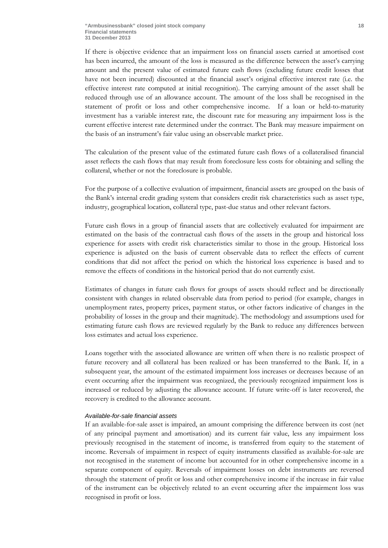If there is objective evidence that an impairment loss on financial assets carried at amortised cost has been incurred, the amount of the loss is measured as the difference between the asset's carrying amount and the present value of estimated future cash flows (excluding future credit losses that have not been incurred) discounted at the financial asset's original effective interest rate (i.e. the effective interest rate computed at initial recognition). The carrying amount of the asset shall be reduced through use of an allowance account. The amount of the loss shall be recognised in the statement of profit or loss and other comprehensive income. If a loan or held-to-maturity investment has a variable interest rate, the discount rate for measuring any impairment loss is the current effective interest rate determined under the contract. The Bank may measure impairment on the basis of an instrument's fair value using an observable market price.

The calculation of the present value of the estimated future cash flows of a collateralised financial asset reflects the cash flows that may result from foreclosure less costs for obtaining and selling the collateral, whether or not the foreclosure is probable.

For the purpose of a collective evaluation of impairment, financial assets are grouped on the basis of the Bank's internal credit grading system that considers credit risk characteristics such as asset type, industry, geographical location, collateral type, past-due status and other relevant factors.

Future cash flows in a group of financial assets that are collectively evaluated for impairment are estimated on the basis of the contractual cash flows of the assets in the group and historical loss experience for assets with credit risk characteristics similar to those in the group. Historical loss experience is adjusted on the basis of current observable data to reflect the effects of current conditions that did not affect the period on which the historical loss experience is based and to remove the effects of conditions in the historical period that do not currently exist.

Estimates of changes in future cash flows for groups of assets should reflect and be directionally consistent with changes in related observable data from period to period (for example, changes in unemployment rates, property prices, payment status, or other factors indicative of changes in the probability of losses in the group and their magnitude). The methodology and assumptions used for estimating future cash flows are reviewed regularly by the Bank to reduce any differences between loss estimates and actual loss experience.

Loans together with the associated allowance are written off when there is no realistic prospect of future recovery and all collateral has been realized or has been transferred to the Bank. If, in a subsequent year, the amount of the estimated impairment loss increases or decreases because of an event occurring after the impairment was recognized, the previously recognized impairment loss is increased or reduced by adjusting the allowance account. If future write-off is later recovered, the recovery is credited to the allowance account.

## *Available-for-sale financial assets*

If an available-for-sale asset is impaired, an amount comprising the difference between its cost (net of any principal payment and amortisation) and its current fair value, less any impairment loss previously recognised in the statement of income, is transferred from equity to the statement of income. Reversals of impairment in respect of equity instruments classified as available-for-sale are not recognised in the statement of income but accounted for in other comprehensive income in a separate component of equity. Reversals of impairment losses on debt instruments are reversed through the statement of profit or loss and other comprehensive income if the increase in fair value of the instrument can be objectively related to an event occurring after the impairment loss was recognised in profit or loss.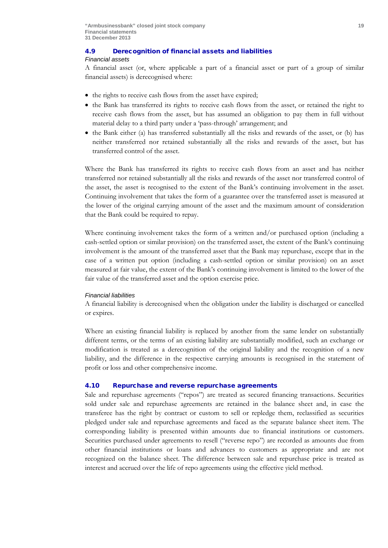## 4.9 Derecognition of financial assets and liabilities

## *Financial assets*

A financial asset (or, where applicable a part of a financial asset or part of a group of similar financial assets) is derecognised where:

- the rights to receive cash flows from the asset have expired;
- the Bank has transferred its rights to receive cash flows from the asset, or retained the right to receive cash flows from the asset, but has assumed an obligation to pay them in full without material delay to a third party under a 'pass-through' arrangement; and
- the Bank either (a) has transferred substantially all the risks and rewards of the asset, or (b) has neither transferred nor retained substantially all the risks and rewards of the asset, but has transferred control of the asset.

Where the Bank has transferred its rights to receive cash flows from an asset and has neither transferred nor retained substantially all the risks and rewards of the asset nor transferred control of the asset, the asset is recognised to the extent of the Bank's continuing involvement in the asset. Continuing involvement that takes the form of a guarantee over the transferred asset is measured at the lower of the original carrying amount of the asset and the maximum amount of consideration that the Bank could be required to repay.

Where continuing involvement takes the form of a written and/or purchased option (including a cash-settled option or similar provision) on the transferred asset, the extent of the Bank's continuing involvement is the amount of the transferred asset that the Bank may repurchase, except that in the case of a written put option (including a cash-settled option or similar provision) on an asset measured at fair value, the extent of the Bank's continuing involvement is limited to the lower of the fair value of the transferred asset and the option exercise price.

## *Financial liabilities*

A financial liability is derecognised when the obligation under the liability is discharged or cancelled or expires.

Where an existing financial liability is replaced by another from the same lender on substantially different terms, or the terms of an existing liability are substantially modified, such an exchange or modification is treated as a derecognition of the original liability and the recognition of a new liability, and the difference in the respective carrying amounts is recognised in the statement of profit or loss and other comprehensive income.

## 4.10 Repurchase and reverse repurchase agreements

Sale and repurchase agreements ("repos") are treated as secured financing transactions. Securities sold under sale and repurchase agreements are retained in the balance sheet and, in case the transferee has the right by contract or custom to sell or repledge them, reclassified as securities pledged under sale and repurchase agreements and faced as the separate balance sheet item. The corresponding liability is presented within amounts due to financial institutions or customers. Securities purchased under agreements to resell ("reverse repo") are recorded as amounts due from other financial institutions or loans and advances to customers as appropriate and are not recognized on the balance sheet. The difference between sale and repurchase price is treated as interest and accrued over the life of repo agreements using the effective yield method.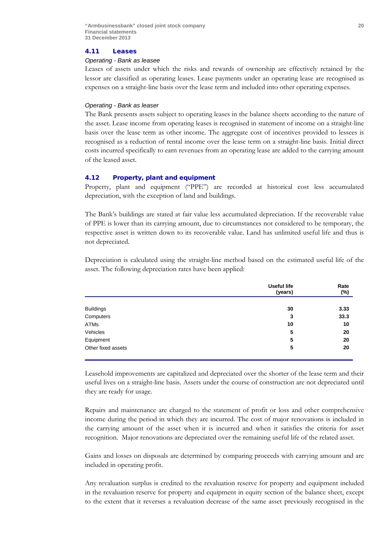#### 4.11 Leases

#### *Operating - Bank as leasee*

Leases of assets under which the risks and rewards of ownership are effectively retained by the lessor are classified as operating leases. Lease payments under an operating lease are recognised as expenses on a straight-line basis over the lease term and included into other operating expenses.

#### *Operating - Bank as leaser*

The Bank presents assets subject to operating leases in the balance sheets according to the nature of the asset. Lease income from operating leases is recognised in statement of income on a straight-line basis over the lease term as other income. The aggregate cost of incentives provided to lessees is recognised as a reduction of rental income over the lease term on a straight-line basis. Initial direct costs incurred specifically to earn revenues from an operating lease are added to the carrying amount of the leased asset.

## 4.12 Property, plant and equipment

Property, plant and equipment ("PPE") are recorded at historical cost less accumulated depreciation, with the exception of land and buildings.

The Bank's buildings are stated at fair value less accumulated depreciation. If the recoverable value of PPE is lower than its carrying amount, due to circumstances not considered to be temporary, the respective asset is written down to its recoverable value. Land has unlimited useful life and thus is not depreciated.

Depreciation is calculated using the straight-line method based on the estimated useful life of the asset. The following depreciation rates have been applied:

|                    | <b>Useful life</b><br>(years) | Rate<br>(%) |
|--------------------|-------------------------------|-------------|
|                    |                               |             |
| <b>Buildings</b>   | 30                            | 3.33        |
| Computers          | 3                             | 33.3        |
| ATMs               | 10                            | 10          |
| Vehicles           | 5                             | 20          |
| Equipment          | 5                             | 20          |
| Other fixed assets | 5                             | 20          |

Leasehold improvements are capitalized and depreciated over the shorter of the lease term and their useful lives on a straight-line basis. Assets under the course of construction are not depreciated until they are ready for usage.

Repairs and maintenance are charged to the statement of profit or loss and other comprehensive income during the period in which they are incurred. The cost of major renovations is included in the carrying amount of the asset when it is incurred and when it satisfies the criteria for asset recognition. Major renovations are depreciated over the remaining useful life of the related asset.

Gains and losses on disposals are determined by comparing proceeds with carrying amount and are included in operating profit.

Any revaluation surplus is credited to the revaluation reserve for property and equipment included in the revaluation reserve for property and equipment in equity section of the balance sheet, except to the extent that it reverses a revaluation decrease of the same asset previously recognised in the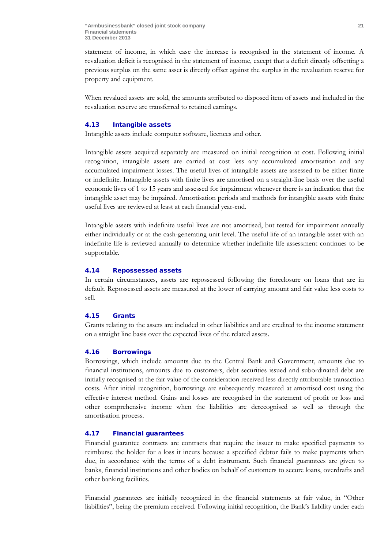statement of income, in which case the increase is recognised in the statement of income. A revaluation deficit is recognised in the statement of income, except that a deficit directly offsetting a previous surplus on the same asset is directly offset against the surplus in the revaluation reserve for property and equipment*.*

When revalued assets are sold, the amounts attributed to disposed item of assets and included in the revaluation reserve are transferred to retained earnings.

## 4.13 Intangible assets

Intangible assets include computer software, licences and other.

Intangible assets acquired separately are measured on initial recognition at cost. Following initial recognition, intangible assets are carried at cost less any accumulated amortisation and any accumulated impairment losses. The useful lives of intangible assets are assessed to be either finite or indefinite. Intangible assets with finite lives are amortised on a straight-line basis over the useful economic lives of 1 to 15 years and assessed for impairment whenever there is an indication that the intangible asset may be impaired. Amortisation periods and methods for intangible assets with finite useful lives are reviewed at least at each financial year-end.

Intangible assets with indefinite useful lives are not amortised, but tested for impairment annually either individually or at the cash-generating unit level. The useful life of an intangible asset with an indefinite life is reviewed annually to determine whether indefinite life assessment continues to be supportable.

## 4.14 Repossessed assets

In certain circumstances, assets are repossessed following the foreclosure on loans that are in default. Repossessed assets are measured at the lower of carrying amount and fair value less costs to sell.

## 4.15 Grants

Grants relating to the assets are included in other liabilities and are credited to the income statement on a straight line basis over the expected lives of the related assets.

## 4.16 Borrowings

Borrowings, which include amounts due to the Central Bank and Government, amounts due to financial institutions, amounts due to customers, debt securities issued and subordinated debt are initially recognised at the fair value of the consideration received less directly attributable transaction costs. After initial recognition, borrowings are subsequently measured at amortised cost using the effective interest method. Gains and losses are recognised in the statement of profit or loss and other comprehensive income when the liabilities are derecognised as well as through the amortisation process.

## 4.17 Financial guarantees

Financial guarantee contracts are contracts that require the issuer to make specified payments to reimburse the holder for a loss it incurs because a specified debtor fails to make payments when due, in accordance with the terms of a debt instrument. Such financial guarantees are given to banks, financial institutions and other bodies on behalf of customers to secure loans, overdrafts and other banking facilities.

Financial guarantees are initially recognized in the financial statements at fair value, in "Other liabilities", being the premium received. Following initial recognition, the Bank's liability under each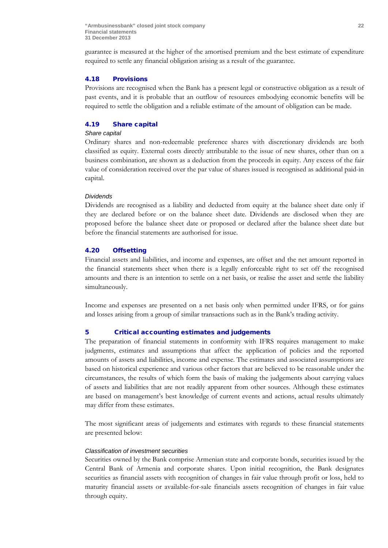guarantee is measured at the higher of the amortised premium and the best estimate of expenditure required to settle any financial obligation arising as a result of the guarantee.

## 4.18 Provisions

Provisions are recognised when the Bank has a present legal or constructive obligation as a result of past events, and it is probable that an outflow of resources embodying economic benefits will be required to settle the obligation and a reliable estimate of the amount of obligation can be made.

## 4.19 Share capital

## *Share capital*

Ordinary shares and non-redeemable preference shares with discretionary dividends are both classified as equity. External costs directly attributable to the issue of new shares, other than on a business combination, are shown as a deduction from the proceeds in equity. Any excess of the fair value of consideration received over the par value of shares issued is recognised as additional paid-in capital.

## *Dividends*

Dividends are recognised as a liability and deducted from equity at the balance sheet date only if they are declared before or on the balance sheet date. Dividends are disclosed when they are proposed before the balance sheet date or proposed or declared after the balance sheet date but before the financial statements are authorised for issue.

## 4.20 Offsetting

Financial assets and liabilities, and income and expenses, are offset and the net amount reported in the financial statements sheet when there is a legally enforceable right to set off the recognised amounts and there is an intention to settle on a net basis, or realise the asset and settle the liability simultaneously.

Income and expenses are presented on a net basis only when permitted under IFRS, or for gains and losses arising from a group of similar transactions such as in the Bank's trading activity.

## 5 Critical accounting estimates and judgements

The preparation of financial statements in conformity with IFRS requires management to make judgments, estimates and assumptions that affect the application of policies and the reported amounts of assets and liabilities, income and expense. The estimates and associated assumptions are based on historical experience and various other factors that are believed to be reasonable under the circumstances, the results of which form the basis of making the judgements about carrying values of assets and liabilities that are not readily apparent from other sources. Although these estimates are based on management's best knowledge of current events and actions, actual results ultimately may differ from these estimates.

The most significant areas of judgements and estimates with regards to these financial statements are presented below:

#### *Classification of investment securities*

Securities owned by the Bank comprise Armenian state and corporate bonds, securities issued by the Central Bank of Armenia and corporate shares. Upon initial recognition, the Bank designates securities as financial assets with recognition of changes in fair value through profit or loss, held to maturity financial assets or available-for-sale financials assets recognition of changes in fair value through equity.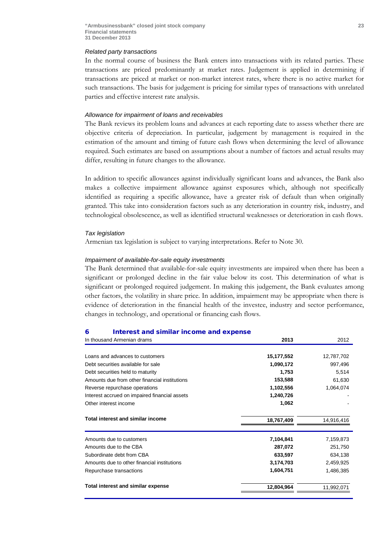#### *Related party transactions*

In the normal course of business the Bank enters into transactions with its related parties. These transactions are priced predominantly at market rates. Judgement is applied in determining if transactions are priced at market or non-market interest rates, where there is no active market for such transactions. The basis for judgement is pricing for similar types of transactions with unrelated parties and effective interest rate analysis.

#### *Allowance for impairment of loans and receivables*

The Bank reviews its problem loans and advances at each reporting date to assess whether there are objective criteria of depreciation. In particular, judgement by management is required in the estimation of the amount and timing of future cash flows when determining the level of allowance required. Such estimates are based on assumptions about a number of factors and actual results may differ, resulting in future changes to the allowance.

In addition to specific allowances against individually significant loans and advances, the Bank also makes a collective impairment allowance against exposures which, although not specifically identified as requiring a specific allowance, have a greater risk of default than when originally granted. This take into consideration factors such as any deterioration in country risk, industry, and technological obsolescence, as well as identified structural weaknesses or deterioration in cash flows.

#### *Tax legislation*

Armenian tax legislation is subject to varying interpretations. Refer to Note 30.

#### *Impairment of available-for-sale equity investments*

The Bank determined that available-for-sale equity investments are impaired when there has been a significant or prolonged decline in the fair value below its cost. This determination of what is significant or prolonged required judgement. In making this judgement, the Bank evaluates among other factors, the volatility in share price. In addition, impairment may be appropriate when there is evidence of deterioration in the financial health of the investee, industry and sector performance, changes in technology, and operational or financing cash flows.

#### 6 Interest and similar income and expense

| In thousand Armenian drams                    | 2013       | 2012       |
|-----------------------------------------------|------------|------------|
|                                               |            |            |
| Loans and advances to customers               | 15,177,552 | 12,787,702 |
| Debt securities available for sale            | 1,090,172  | 997,496    |
| Debt securities held to maturity              | 1,753      | 5,514      |
| Amounts due from other financial institutions | 153,588    | 61,630     |
| Reverse repurchase operations                 | 1,102,556  | 1,064,074  |
| Interest accrued on impaired financial assets | 1,240,726  |            |
| Other interest income                         | 1,062      |            |
| <b>Total interest and similar income</b>      | 18,767,409 | 14,916,416 |
| Amounts due to customers                      | 7,104,841  | 7,159,873  |
| Amounts due to the CBA                        | 287,072    | 251,750    |
| Subordinate debt from CBA                     | 633,597    | 634,138    |
| Amounts due to other financial institutions   | 3,174,703  | 2,459,925  |
| Repurchase transactions                       | 1,604,751  | 1,486,385  |
| <b>Total interest and similar expense</b>     | 12,804,964 | 11,992,071 |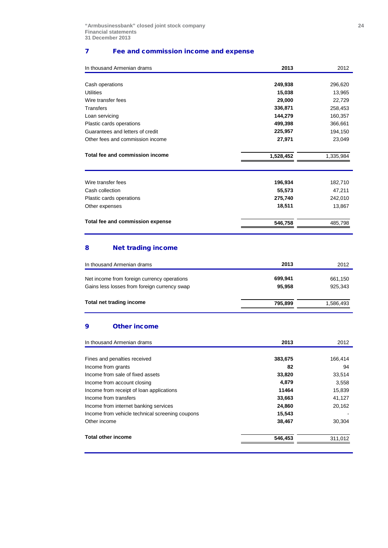## 7 Fee and commission income and expense

| In thousand Armenian drams       | 2013      | 2012      |
|----------------------------------|-----------|-----------|
|                                  |           |           |
| Cash operations                  | 249,938   | 296,620   |
| Utilities                        | 15,038    | 13,965    |
| Wire transfer fees               | 29,000    | 22,729    |
| Transfers                        | 336,871   | 258,453   |
| Loan servicing                   | 144,279   | 160,357   |
| Plastic cards operations         | 499,398   | 366,661   |
| Guarantees and letters of credit | 225,957   | 194,150   |
| Other fees and commission income | 27,971    | 23,049    |
| Total fee and commission income  | 1,528,452 | 1,335,984 |
| Wire transfer fees               | 196,934   | 182,710   |
| Cash collection                  | 55,573    | 47,211    |
| Plastic cards operations         | 275,740   | 242,010   |
| Other expenses                   | 18,511    | 13,867    |
| Total fee and commission expense | 546,758   | 485,798   |
|                                  |           |           |

## 8 Net trading income

| In thousand Armenian drams                   | 2013    | 2012      |
|----------------------------------------------|---------|-----------|
| Net income from foreign currency operations  | 699,941 | 661,150   |
|                                              |         |           |
| Gains less losses from foreign currency swap | 95.958  | 925.343   |
| Total net trading income                     | 795.899 | 1,586,493 |
|                                              |         |           |

## 9 Other income

| In thousand Armenian drams                      | 2013    | 2012    |
|-------------------------------------------------|---------|---------|
|                                                 |         |         |
| Fines and penalties received                    | 383,675 | 166,414 |
| Income from grants                              | 82      | 94      |
| Income from sale of fixed assets                | 33,820  | 33,514  |
| Income from account closing                     | 4.879   | 3,558   |
| Income from receipt of loan applications        | 11464   | 15,839  |
| Income from transfers                           | 33,663  | 41,127  |
| Income from internet banking services           | 24,860  | 20,162  |
| Income from vehicle technical screening coupons | 15,543  |         |
| Other income                                    | 38,467  | 30,304  |
| <b>Total other income</b>                       | 546,453 | 311,012 |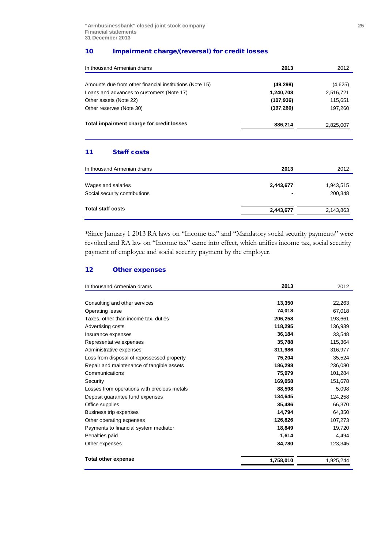## 10 Impairment charge/(reversal) for credit losses

| In thousand Armenian drams                              | 2013       | 2012      |  |
|---------------------------------------------------------|------------|-----------|--|
| Amounts due from other financial institutions (Note 15) | (49, 298)  | (4,625)   |  |
| Loans and advances to customers (Note 17)               | 1,240,708  | 2,516,721 |  |
| Other assets (Note 22)                                  | (107, 936) | 115,651   |  |
| Other reserves (Note 30)                                | (197, 260) | 197,260   |  |
| Total impairment charge for credit losses               | 886,214    | 2,825,007 |  |
| <b>Staff costs</b><br>11                                |            |           |  |
| In thousand Armenian drams                              | 2013       | 2012      |  |
| Wages and salaries                                      | 2,443,677  | 1,943,515 |  |
| Social security contributions                           |            | 200,348   |  |
| <b>Total staff costs</b>                                | 2,443,677  | 2,143,863 |  |

\*Since January 1 2013 RA laws on "Income tax" and "Mandatory social security payments" were revoked and RA law on "Income tax" came into effect, which unifies income tax, social security payment of employee and social security payment by the employer.

## 12 Other expenses

| In thousand Armenian drams                  | 2013      | 2012      |
|---------------------------------------------|-----------|-----------|
|                                             |           |           |
| Consulting and other services               | 13,350    | 22,263    |
| Operating lease                             | 74,018    | 67,018    |
| Taxes, other than income tax, duties        | 206,258   | 193,661   |
| Advertising costs                           | 118,295   | 136,939   |
| Insurance expenses                          | 36,184    | 33,548    |
| Representative expenses                     | 35,788    | 115,364   |
| Administrative expenses                     | 311,986   | 316,977   |
| Loss from disposal of repossessed property  | 75,204    | 35,524    |
| Repair and maintenance of tangible assets   | 186,298   | 236,080   |
| Communications                              | 75,979    | 101,284   |
| Security                                    | 169,058   | 151,678   |
| Losses from operations with precious metals | 88,598    | 5,098     |
| Deposit guarantee fund expenses             | 134,645   | 124,258   |
| Office supplies                             | 35,486    | 66,370    |
| Business trip expenses                      | 14,794    | 64,350    |
| Other operating expenses                    | 126,826   | 107,273   |
| Payments to financial system mediator       | 18,849    | 19,720    |
| Penalties paid                              | 1,614     | 4,494     |
| Other expenses                              | 34,780    | 123,345   |
| <b>Total other expense</b>                  | 1,758,010 | 1,925,244 |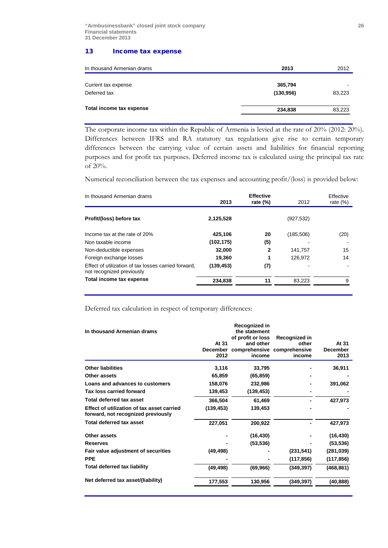## 13 Income tax expense

| In thousand Armenian drams | 2013       | 2012   |
|----------------------------|------------|--------|
| Current tax expense        | 365,794    |        |
| Deferred tax               | (130, 956) | 83,223 |
| Total income tax expense   | 234,838    | 83,223 |

The corporate income tax within the Republic of Armenia is levied at the rate of 20% (2012: 20%). Differences between IFRS and RA statutory tax regulations give rise to certain temporary differences between the carrying value of certain assets and liabilities for financial reporting purposes and for profit tax purposes. Deferred income tax is calculated using the principal tax rate of 20%.

Numerical reconciliation between the tax expenses and accounting profit/(loss) is provided below:

| In thousand Armenian drams                                                        | 2013       | <b>Effective</b><br>rate $(\%)$ | 2012       | Effective<br>rate $(\%)$ |  |  |
|-----------------------------------------------------------------------------------|------------|---------------------------------|------------|--------------------------|--|--|
| Profit/(loss) before tax                                                          | 2,125,528  |                                 | (927, 532) |                          |  |  |
| Income tax at the rate of 20%                                                     | 425,106    | 20                              | (185, 506) | (20)                     |  |  |
| Non taxable income                                                                | (102,175)  | (5)                             |            |                          |  |  |
| Non-deductible expenses                                                           | 32,000     | 2                               | 141,757    | 15                       |  |  |
| Foreign exchange losses                                                           | 19.360     |                                 | 126.972    | 14                       |  |  |
| Effect of utilization of tax losses carried forward,<br>not recognized previously | (139, 453) | (7)                             |            |                          |  |  |
| Total income tax expense                                                          | 234,838    | 11                              | 83.223     | 9                        |  |  |

Deferred tax calculation in respect of temporary differences:

| In thousand Armenian drams                                                       |                  | Recognized in<br>the statement<br>of profit or loss | Recognized in |                         |
|----------------------------------------------------------------------------------|------------------|-----------------------------------------------------|---------------|-------------------------|
|                                                                                  | At 31            | and other                                           | other         | At 31                   |
|                                                                                  | December<br>2012 | comprehensive comprehensive<br>income               | income        | <b>December</b><br>2013 |
| <b>Other liabilities</b>                                                         | 3,116            | 33,795                                              |               | 36,911                  |
| Other assets                                                                     | 65,859           | (65, 859)                                           |               |                         |
| Loans and advances to customers                                                  | 158,076          | 232,986                                             |               | 391,062                 |
| Tax loss carried forward                                                         | 139,453          | (139, 453)                                          |               |                         |
| Total deferred tax asset                                                         | 366,504          | 61,469                                              |               | 427,973                 |
| Effect of utilization of tax asset carried<br>forward, not recognized previously | (139, 453)       | 139,453                                             |               |                         |
| <b>Total deferred tax asset</b>                                                  | 227,051          | 200,922                                             |               | 427,973                 |
| Other assets                                                                     |                  | (16, 430)                                           |               | (16, 430)               |
| <b>Reserves</b>                                                                  |                  | (53, 536)                                           |               | (53, 536)               |
| Fair value adjustment of securities                                              | (49, 498)        |                                                     | (231, 541)    | (281, 039)              |
| <b>PPE</b>                                                                       |                  |                                                     | (117, 856)    | (117, 856)              |
| <b>Total deferred tax liability</b>                                              | (49, 498)        | (69, 966)                                           | (349, 397)    | (468, 861)              |
| Net deferred tax asset/(liability)                                               | 177,553          | 130,956                                             | (349, 397)    | (40, 888)               |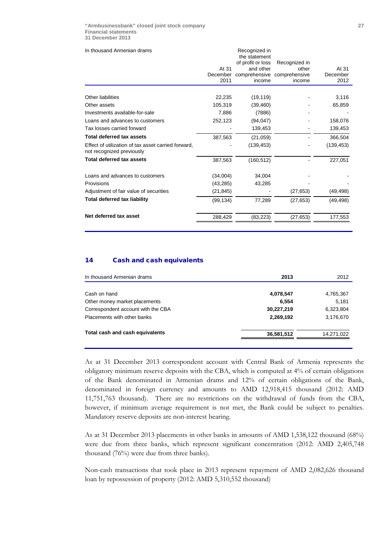| In thousand Armenian drams                                                       |           | Recognized in<br>the statement |               |            |
|----------------------------------------------------------------------------------|-----------|--------------------------------|---------------|------------|
|                                                                                  |           | of profit or loss              | Recognized in |            |
|                                                                                  | At 31     | and other                      | other         | At 31      |
|                                                                                  | December  | comprehensive comprehensive    |               | December   |
|                                                                                  | 2011      | income                         | income        | 2012       |
| Other liabilities                                                                | 22,235    | (19, 119)                      |               | 3,116      |
| Other assets                                                                     | 105,319   | (39, 460)                      |               | 65,859     |
| Investments available-for-sale                                                   | 7,886     | (7886)                         |               |            |
| Loans and advances to customers                                                  | 252,123   | (94, 047)                      |               | 158,076    |
| Tax losses carried forward                                                       |           | 139,453                        |               | 139,453    |
| Total deferred tax assets                                                        | 387,563   | (21, 059)                      |               | 366,504    |
| Effect of utilization of tax asset carried forward,<br>not recognized previously |           | (139, 453)                     |               | (139, 453) |
| <b>Total deferred tax assets</b>                                                 | 387,563   | (160, 512)                     |               | 227,051    |
| Loans and advances to customers                                                  | (34,004)  | 34,004                         |               |            |
| Provisions                                                                       | (43, 285) | 43,285                         |               |            |
| Adjustment of fair value of securities                                           | (21, 845) |                                | (27, 653)     | (49, 498)  |
| <b>Total deferred tax liability</b>                                              | (99, 134) | 77,289                         | (27, 653)     | (49, 498)  |
| Net deferred tax asset                                                           | 288,429   | (83, 223)                      | (27,653)      | 177,553    |
|                                                                                  |           |                                |               |            |

## 14 Cash and cash equivalents

| In thousand Armenian drams         | 2013       | 2012       |
|------------------------------------|------------|------------|
| Cash on hand                       | 4,078,547  | 4,765,367  |
| Other money market placements      | 6,554      | 5,181      |
| Correspondent account with the CBA | 30,227,219 | 6,323,804  |
| Placements with other banks        | 2,269,192  | 3,176,670  |
| Total cash and cash equivalents    | 36,581,512 | 14,271,022 |
|                                    |            |            |

As at 31 December 2013 correspondent account with Central Bank of Armenia represents the obligatory minimum reserve deposits with the CBA, which is computed at 4% of certain obligations of the Bank denominated in Armenian drams and 12% of certain obligations of the Bank, denominated in foreign currency and amounts to AMD 12,918,415 thousand (2012: AMD 11,751,763 thousand). There are no restrictions on the withdrawal of funds from the CBA, however, if minimum average requirement is not met, the Bank could be subject to penalties. Mandatory reserve deposits are non-interest bearing.

As at 31 December 2013 placements in other banks in amounts of AMD 1,538,122 thousand (68%) were due from three banks, which represent significant concentration (2012: AMD 2,405,748 thousand (76%) were due from three banks).

Non-cash transactions that took place in 2013 represent repayment of AMD 2,082,626 thousand loan by repossession of property (2012: AMD 5,310,552 thousand)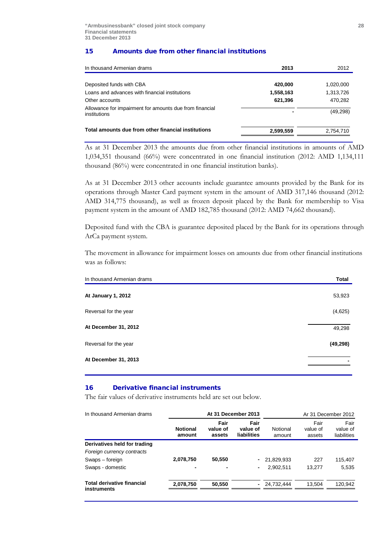## 15 Amounts due from other financial institutions

| In thousand Armenian drams                                              | 2013      | 2012      |
|-------------------------------------------------------------------------|-----------|-----------|
|                                                                         |           |           |
| Deposited funds with CBA                                                | 420,000   | 1,020,000 |
| Loans and advances with financial institutions                          | 1,558,163 | 1,313,726 |
| Other accounts                                                          | 621,396   | 470,282   |
| Allowance for impairment for amounts due from financial<br>institutions |           | (49, 298) |
| Total amounts due from other financial institutions                     | 2,599,559 | 2,754,710 |

As at 31 December 2013 the amounts due from other financial institutions in amounts of AMD 1,034,351 thousand (66%) were concentrated in one financial institution (2012: AMD 1,134,111 thousand (86%) were concentrated in one financial institution banks).

As at 31 December 2013 other accounts include guarantee amounts provided by the Bank for its operations through Master Card payment system in the amount of AMD 317,146 thousand (2012: AMD 314,775 thousand), as well as frozen deposit placed by the Bank for membership to Visa payment system in the amount of AMD 182,785 thousand (2012: AMD 74,662 thousand).

Deposited fund with the CBA is guarantee deposited placed by the Bank for its operations through ArCa payment system.

The movement in allowance for impairment losses on amounts due from other financial institutions was as follows:

| In thousand Armenian drams | Total     |
|----------------------------|-----------|
| At January 1, 2012         | 53,923    |
| Reversal for the year      | (4,625)   |
| At December 31, 2012       | 49,298    |
| Reversal for the year      | (49, 298) |
| At December 31, 2013       |           |
|                            |           |

## 16 Derivative financial instruments

The fair values of derivative instruments held are set out below.

| In thousand Armenian drams                       | At 31 December 2013       |                            |                                 |                    | Ar 31 December 2012        |                                 |
|--------------------------------------------------|---------------------------|----------------------------|---------------------------------|--------------------|----------------------------|---------------------------------|
|                                                  | <b>Notional</b><br>amount | Fair<br>value of<br>assets | Fair<br>value of<br>liabilities | Notional<br>amount | Fair<br>value of<br>assets | Fair<br>value of<br>liabilities |
| Derivatives held for trading                     |                           |                            |                                 |                    |                            |                                 |
| Foreign currency contracts                       |                           |                            |                                 |                    |                            |                                 |
| Swaps – foreign                                  | 2,078,750                 | 50,550                     |                                 | 21,829,933         | 227                        | 115,407                         |
| Swaps - domestic                                 | ٠                         |                            |                                 | 2,902,511          | 13.277                     | 5,535                           |
| <b>Total derivative financial</b><br>instruments | 2,078,750                 | 50.550                     | $\sim$                          | 24.732.444         | 13.504                     | 120,942                         |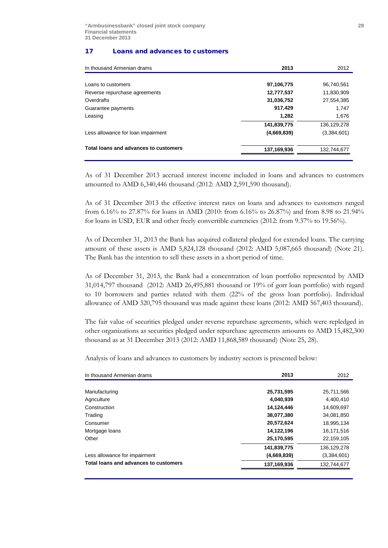### 17 Loans and advances to customers

| 2013        | 2012          |
|-------------|---------------|
|             |               |
|             | 96,740,561    |
| 12,777,537  | 11,830,909    |
| 31,036,752  | 27,554,385    |
| 917,429     | 1,747         |
| 1,282       | 1,676         |
| 141,839,775 | 136, 129, 278 |
| (4,669,839) | (3,384,601)   |
| 137,169,936 | 132.744.677   |
|             | 97,106,775    |

As of 31 December 2013 accrued interest income included in loans and advances to customers amounted to AMD 6,340,446 thousand (2012: AMD 2,591,590 thousand).

As of 31 December 2013 the effective interest rates on loans and advances to customers ranged from 6.16% to 27.87% for loans in AMD (2010: from 6.16% to 26.87%) and from 8.98 to 21.94% for loans in USD, EUR and other freely convertible currencies (2012: from 9.37% to 19.56%).

As of December 31, 2013 the Bank has acquired collateral pledged for extended loans. The carrying amount of these assets is AMD 5,824,128 thousand (2012: AMD 5,087,665 thousand) (Note 21). The Bank has the intention to sell these assets in a short period of time.

As of December 31, 2013, the Bank had a concentration of loan portfolio represented by AMD 31,014,797 thousand (2012: AMD 26,495,881 thousand or 19% of gorr loan portfolio) with regard to 10 borrowers and parties related with them (22% of the gross loan portfolio). Individual allowance of AMD 320,795 thousand was made against these loans (2012: AMD 567,403 thousand).

The fair value of securities pledged under reverse repurchase agreements, which were repledged in other organizations as securities pledged under repurchase agreements amounts to AMD 15,482,300 thousand as at 31 December 2013 (2012: AMD 11,868,589 thousand) (Note 25, 28).

Analysis of loans and advances to customers by industry sectors is presented below:

| In thousand Armenian drams            | 2013        | 2012          |
|---------------------------------------|-------------|---------------|
|                                       |             |               |
| Manufacturing                         | 25,731,595  | 25,711,566    |
| Agriculture                           | 4,040,939   | 4,400,410     |
| Construction                          | 14,124,446  | 14,609,697    |
| Trading                               | 38,077,380  | 34,081,850    |
| Consumer                              | 20,572,624  | 18,995,134    |
| Mortgage loans                        | 14,122,196  | 16,171,516    |
| Other                                 | 25,170,595  | 22,159,105    |
|                                       | 141,839,775 | 136, 129, 278 |
| Less allowance for impairment         | (4,669,839) | (3,384,601)   |
| Total loans and advances to customers | 137,169,936 | 132,744,677   |
|                                       |             |               |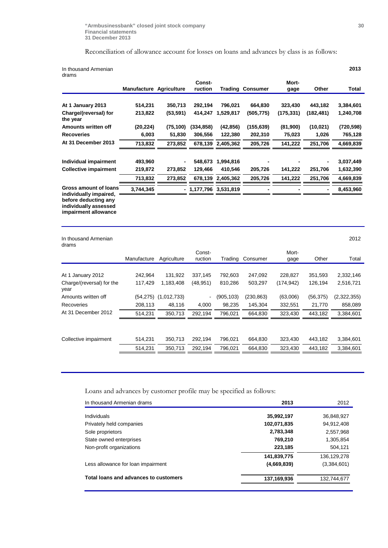## Reconciliation of allowance account for losses on loans and advances by class is as follows:

| In thousand Armenian<br>drams                                         |                                |           |                       |                   |                         |           |            | 2013       |
|-----------------------------------------------------------------------|--------------------------------|-----------|-----------------------|-------------------|-------------------------|-----------|------------|------------|
|                                                                       |                                |           | Const-                |                   |                         | Mort-     |            |            |
|                                                                       | <b>Manufacture Agriculture</b> |           | ruction               |                   | <b>Trading Consumer</b> | gage      | Other      | Total      |
|                                                                       |                                |           |                       |                   |                         |           |            |            |
| At 1 January 2013                                                     | 514,231                        | 350,713   | 292,194               | 796,021           | 664,830                 | 323,430   | 443,182    | 3,384,601  |
| Charge/(reversal) for<br>the year                                     | 213,822                        | (53, 591) | 414,247               | 1,529,817         | (505, 775)              | (175,331) | (182, 481) | 1,240,708  |
| Amounts written off                                                   | (20, 224)                      | (75, 100) | (334, 858)            | (42, 856)         | (155, 639)              | (81,900)  | (10, 021)  | (720, 598) |
| <b>Recoveries</b>                                                     | 6,003                          | 51,830    | 306,556               | 122,380           | 202,310                 | 75,023    | 1,026      | 765,128    |
| At 31 December 2013                                                   | 713,832                        | 273,852   | 678,139               | 2,405,362         | 205,726                 | 141,222   | 251,706    | 4,669,839  |
|                                                                       |                                |           |                       |                   |                         |           |            |            |
| Individual impairment                                                 | 493,960                        |           | 548,673               | 1,994,816         |                         |           |            | 3,037,449  |
| <b>Collective impairment</b>                                          | 219,872                        | 273,852   | 129,466               | 410,546           | 205,726                 | 141,222   | 251,706    | 1,632,390  |
|                                                                       | 713,832                        | 273,852   |                       | 678,139 2,405,362 | 205,726                 | 141,222   | 251,706    | 4,669,839  |
| Gross amount of loans<br>individually impaired,                       | 3,744,345                      |           | - 1,177,796 3,531,819 |                   |                         |           |            | 8,453,960  |
| before deducting any<br>individually assessed<br>impairment allowance |                                |           |                       |                   |                         |           |            |            |

| In thousand Armenian<br>drams     |             |                          |                          |           |           |            |           | 2012        |
|-----------------------------------|-------------|--------------------------|--------------------------|-----------|-----------|------------|-----------|-------------|
|                                   |             |                          | Const-                   |           |           | Mort-      |           |             |
|                                   | Manufacture | Agriculture              | ruction                  | Trading   | Consumer  | gage       | Other     | Total       |
|                                   |             |                          |                          |           |           |            |           |             |
| January 2012<br>At 1              | 242,964     | 131,922                  | 337,145                  | 792,603   | 247,092   | 228,827    | 351,593   | 2,332,146   |
| Charge/(reversal) for the<br>year | 117.429     | 1.183.408                | (48,951)                 | 810.286   | 503,297   | (174, 942) | 126.194   | 2,516,721   |
| Amounts written off               |             | $(54,275)$ $(1,012,733)$ | $\overline{\phantom{0}}$ | (905,103) | (230,863) | (63,006)   | (56, 375) | (2,322,355) |
| Recoveries                        | 208,113     | 48.116                   | 4,000                    | 98.235    | 145,304   | 332,551    | 21,770    | 858,089     |
| At 31 December 2012               | 514,231     | 350,713                  | 292.194                  | 796.021   | 664,830   | 323,430    | 443,182   | 3,384,601   |
|                                   |             |                          |                          |           |           |            |           |             |
| Collective impairment             | 514,231     | 350,713                  | 292,194                  | 796,021   | 664,830   | 323,430    | 443,182   | 3,384,601   |
|                                   | 514,231     | 350,713                  | 292,194                  | 796,021   | 664,830   | 323,430    | 443,182   | 3,384,601   |
|                                   |             |                          |                          |           |           |            |           |             |

Loans and advances by customer profile may be specified as follows:

| In thousand Armenian drams            | 2013        | 2012          |
|---------------------------------------|-------------|---------------|
| Individuals                           | 35,992,197  | 36,848,927    |
| Privately held companies              | 102,071,835 | 94,912,408    |
| Sole proprietors                      | 2,783,348   | 2,557,968     |
| State owned enterprises               | 769,210     | 1,305,854     |
| Non-profit organizations              | 223,185     | 504.121       |
|                                       | 141,839,775 | 136, 129, 278 |
| Less allowance for loan impairment    | (4,669,839) | (3,384,601)   |
| Total loans and advances to customers | 137,169,936 | 132,744,677   |
|                                       |             |               |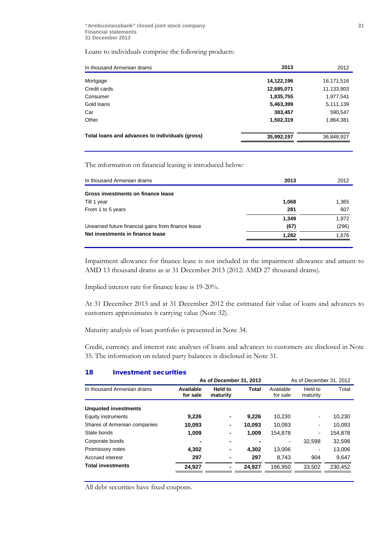Loans to individuals comprise the following products:

| In thousand Armenian drams                      | 2013       | 2012       |
|-------------------------------------------------|------------|------------|
|                                                 | 14,122,196 |            |
| Mortgage                                        |            | 16,171,516 |
| Credit cards                                    | 12,685,071 | 11,133,803 |
| Consumer                                        | 1,835,755  | 1,977,541  |
| Gold loans                                      | 5,463,399  | 5,111,139  |
| Car                                             | 383,457    | 590,547    |
| Other                                           | 1,502,319  | 1,864,381  |
| Total loans and advances to individuals (gross) | 35,992,197 | 36,848,927 |
|                                                 |            |            |

The information on financial leasing is introduced below:

| In thousand Armenian drams                         | 2013  | 2012  |
|----------------------------------------------------|-------|-------|
| Gross investments on finance lease                 |       |       |
| Till 1 year                                        | 1,068 | 1,365 |
| From 1 to 5 years                                  | 281   | 607   |
|                                                    | 1,349 | 1,972 |
| Unearned future financial gains from finance lease | (67)  | (296) |
| Net investments in finance lease                   | 1,282 | 1,676 |
|                                                    |       |       |

Impairment allowance for finance lease is not included in the impairment allowance and amunt to AMD 13 thousand drams as at 31 December 2013 (2012: AMD 27 thousand drams).

Implied interest rate for finance lease is 19-20%.

At 31 December 2013 and at 31 December 2012 the estimated fair value of loans and advances to customers approximates it carrying value (Note 32).

Maturity analysis of loan portfolio is presented in Note 34.

Credit, currency and interest rate analyses of loans and advances to customers are disclosed in Note 35. The information on related party balances is disclosed in Note 31.

## 18 Investment securities

|                              | As of December 31, 2013<br>As of December 31, 2012 |                     |        |                       |                          |         |
|------------------------------|----------------------------------------------------|---------------------|--------|-----------------------|--------------------------|---------|
| In thousand Armenian drams   | Available<br>for sale                              | Held to<br>maturity | Total  | Available<br>for sale | Held to<br>maturity      | Total   |
| <b>Unquoted investments</b>  |                                                    |                     |        |                       |                          |         |
| Equity instruments           | 9,226                                              | ٠                   | 9.226  | 10.230                | $\overline{\phantom{a}}$ | 10,230  |
| Shares of Armenian companies | 10,093                                             | ۰                   | 10,093 | 10.093                | $\overline{\phantom{a}}$ | 10,093  |
| State bonds                  | 1,009                                              | ۰                   | 1.009  | 154.878               | $\overline{\phantom{a}}$ | 154.878 |
| Corporate bonds              |                                                    |                     |        |                       | 32.598                   | 32,598  |
| Promissory notes             | 4,302                                              | ٠                   | 4.302  | 13,006                | $\overline{\phantom{a}}$ | 13,006  |
| Accrued interest             | 297                                                | ۰                   | 297    | 8.743                 | 904                      | 9,647   |
| <b>Total investments</b>     | 24,927                                             | ٠                   | 24.927 | 196.950               | 33.502                   | 230,452 |
|                              |                                                    |                     |        |                       |                          |         |

All debt securities have fixed coupons.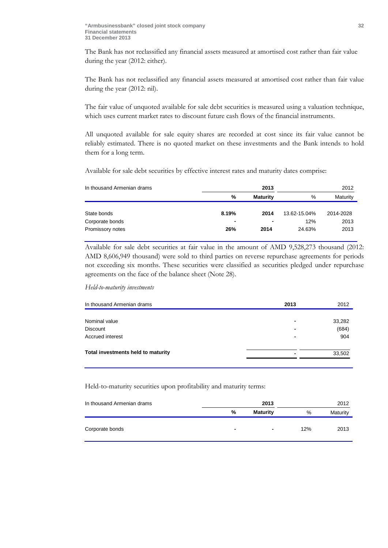The Bank has not reclassified any financial assets measured at amortised cost rather than fair value during the year (2012: either).

The Bank has not reclassified any financial assets measured at amortised cost rather than fair value during the year (2012: nil).

The fair value of unquoted available for sale debt securities is measured using a valuation technique, which uses current market rates to discount future cash flows of the financial instruments.

All unquoted available for sale equity shares are recorded at cost since its fair value cannot be reliably estimated. There is no quoted market on these investments and the Bank intends to hold them for a long term.

Available for sale debt securities by effective interest rates and maturity dates comprise:

| In thousand Armenian drams |       | 2013            | 2012         |           |  |
|----------------------------|-------|-----------------|--------------|-----------|--|
|                            | %     | <b>Maturity</b> | %            | Maturity  |  |
|                            |       |                 |              |           |  |
| State bonds                | 8.19% | 2014            | 13.62-15.04% | 2014-2028 |  |
| Corporate bonds            | $\,$  | ٠               | 12%          | 2013      |  |
| Promissory notes           | 26%   | 2014            | 24.63%       | 2013      |  |

Available for sale debt securities at fair value in the amount of AMD 9,528,273 thousand (2012: AMD 8,606,949 thousand) were sold to third parties on reverse repurchase agreements for periods not exceeding six months. These securities were classified as securities pledged under repurchase agreements on the face of the balance sheet (Note 28).

*Held-to-maturity investments* 

| In thousand Armenian drams         | 2013 | 2012   |
|------------------------------------|------|--------|
|                                    |      |        |
| Nominal value                      |      | 33,282 |
| <b>Discount</b>                    |      | (684)  |
| Accrued interest                   |      | 904    |
| Total investments held to maturity |      | 33,502 |
|                                    |      |        |

Held-to-maturity securities upon profitability and maturity terms:

| In thousand Armenian drams |   | 2013            | 2012 |          |  |
|----------------------------|---|-----------------|------|----------|--|
|                            | % | <b>Maturity</b> | %    | Maturity |  |
| Corporate bonds            | ۰ | $\blacksquare$  | 12%  | 2013     |  |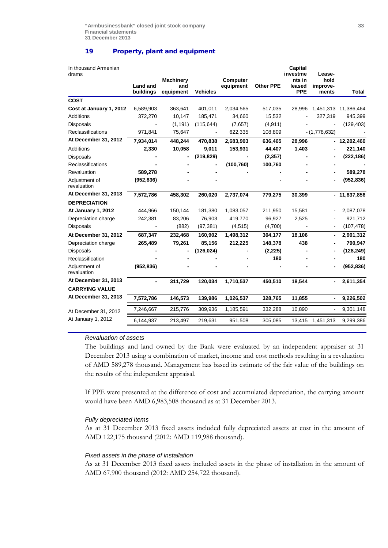## 19 Property, plant and equipment

| In thousand Armenian<br>drams |                              |                  |                 |                 |                  | Capital<br>investme  | Lease-                   |                      |
|-------------------------------|------------------------------|------------------|-----------------|-----------------|------------------|----------------------|--------------------------|----------------------|
|                               |                              | <b>Machinery</b> |                 | <b>Computer</b> |                  | nts in               | hold                     |                      |
|                               | <b>Land and</b><br>buildings | and<br>equipment | <b>Vehicles</b> | equipment       | <b>Other PPE</b> | leased<br><b>PPE</b> | improve-<br>ments        | <b>Total</b>         |
| <b>COST</b>                   |                              |                  |                 |                 |                  |                      |                          |                      |
| Cost at January 1, 2012       | 6,589,903                    | 363,641          | 401,011         | 2,034,565       | 517,035          | 28,996               |                          | 1,451,313 11,386,464 |
| <b>Additions</b>              | 372,270                      | 10,147           | 185,471         | 34,660          | 15,532           |                      | 327,319                  | 945,399              |
| <b>Disposals</b>              |                              | (1, 191)         | (115, 644)      | (7,657)         | (4, 911)         |                      |                          | (129, 403)           |
| Reclassifications             | 971,841                      | 75,647           |                 | 622,335         | 108,809          |                      | $-(1,778,632)$           |                      |
| At December 31, 2012          | 7,934,014                    | 448,244          | 470,838         | 2,683,903       | 636,465          | 28,996               |                          | 12,202,460           |
| <b>Additions</b>              | 2,330                        | 10,058           | 9,011           | 153,931         | 44,407           | 1,403                |                          | 221,140              |
| Disposals                     |                              |                  | (219, 829)      |                 | (2, 357)         |                      |                          | (222, 186)           |
| <b>Reclassifications</b>      |                              |                  |                 | (100, 760)      | 100,760          |                      |                          |                      |
| Revaluation                   | 589,278                      |                  |                 |                 |                  |                      |                          | 589,278              |
| Adjustment of<br>revaluation  | (952, 836)                   |                  |                 |                 |                  |                      |                          | (952, 836)           |
| At December 31, 2013          | 7,572,786                    | 458,302          | 260,020         | 2,737,074       | 779,275          | 30,399               |                          | $-11,837,856$        |
| <b>DEPRECIATION</b>           |                              |                  |                 |                 |                  |                      |                          |                      |
| At January 1, 2012            | 444,966                      | 150,144          | 181,380         | 1,083,057       | 211,950          | 15,581               |                          | 2,087,078            |
| Depreciation charge           | 242,381                      | 83,206           | 76,903          | 419,770         | 96,927           | 2,525                |                          | 921,712              |
| <b>Disposals</b>              |                              | (882)            | (97, 381)       | (4, 515)        | (4,700)          |                      |                          | (107, 478)           |
| At December 31, 2012          | 687,347                      | 232,468          | 160,902         | 1,498,312       | 304,177          | 18,106               |                          | 2,901,312            |
| Depreciation charge           | 265,489                      | 79,261           | 85,156          | 212,225         | 148,378          | 438                  |                          | 790,947              |
| <b>Disposals</b>              |                              |                  | (126, 024)      |                 | (2,225)          |                      |                          | (128, 249)           |
| Reclassification              |                              |                  |                 |                 | 180              |                      |                          | 180                  |
| Adjustment of<br>revaluation  | (952, 836)                   |                  |                 |                 |                  |                      |                          | (952, 836)           |
| At December 31, 2013          | $\blacksquare$               | 311,729          | 120,034         | 1,710,537       | 450,510          | 18,544               | $\overline{\phantom{0}}$ | 2,611,354            |
| <b>CARRYING VALUE</b>         |                              |                  |                 |                 |                  |                      |                          |                      |
| At December 31, 2013          | 7,572,786                    | 146,573          | 139,986         | 1,026,537       | 328,765          | 11,855               | $\overline{\phantom{0}}$ | 9,226,502            |
| At December 31, 2012          | 7,246,667                    | 215,776          | 309,936         | 1,185,591       | 332,288          | 10,890               |                          | 9,301,148            |
| At January 1, 2012            | 6,144,937                    | 213,497          | 219,631         | 951,508         | 305,085          | 13,415               | 1,451,313                | 9,299,386            |

## *Revaluation of assets*

The buildings and land owned by the Bank were evaluated by an independent appraiser at 31 December 2013 using a combination of market, income and cost methods resulting in a revaluation of AMD 589,278 thousand. Management has based its estimate of the fair value of the buildings on the results of the independent appraisal.

If PPE were presented at the difference of cost and accumulated depreciation, the carrying amount would have been AMD 6,983,508 thousand as at 31 December 2013.

#### *Fully depreciated items*

As at 31 December 2013 fixed assets included fully depreciated assets at cost in the amount of AMD 122,175 thousand (2012: AMD 119,988 thousand).

#### *Fixed assets in the phase of installation*

As at 31 December 2013 fixed assets included assets in the phase of installation in the amount of AMD 67,900 thousand (2012: AMD 254,722 thousand).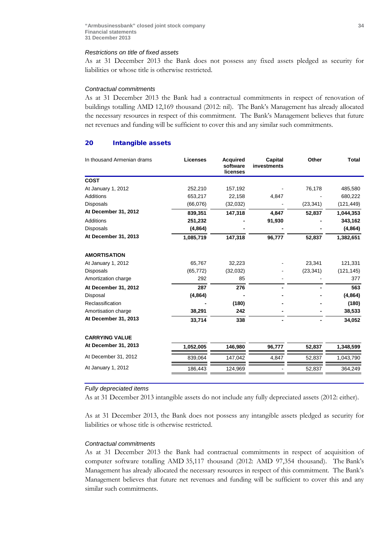#### *Restrictions on title of fixed assets*

As at 31 December 2013 the Bank does not possess any fixed assets pledged as security for liabilities or whose title is otherwise restricted.

#### *Contractual commitments*

As at 31 December 2013 the Bank had a contractual commitments in respect of renovation of buildings totalling AMD 12,169 thousand (2012: nil). The Bank's Management has already allocated the necessary resources in respect of this commitment. The Bank's Management believes that future net revenues and funding will be sufficient to cover this and any similar such commitments.

#### 20 Intangible assets

| In thousand Armenian drams | <b>Licenses</b> | <b>Acquired</b><br>software<br>licenses | Capital<br>investments | Other     | <b>Total</b> |
|----------------------------|-----------------|-----------------------------------------|------------------------|-----------|--------------|
| <b>COST</b>                |                 |                                         |                        |           |              |
| At January 1, 2012         | 252,210         | 157,192                                 |                        | 76,178    | 485,580      |
| Additions                  | 653,217         | 22,158                                  | 4,847                  |           | 680,222      |
| <b>Disposals</b>           | (66,076)        | (32,032)                                |                        | (23, 341) | (121, 449)   |
| At December 31, 2012       | 839,351         | 147,318                                 | 4,847                  | 52,837    | 1,044,353    |
| <b>Additions</b>           | 251,232         |                                         | 91,930                 |           | 343,162      |
| <b>Disposals</b>           | (4,864)         |                                         |                        |           | (4, 864)     |
| At December 31, 2013       | 1,085,719       | 147,318                                 | 96,777                 | 52,837    | 1,382,651    |
| <b>AMORTISATION</b>        |                 |                                         |                        |           |              |
| At January 1, 2012         | 65,767          | 32,223                                  |                        | 23,341    | 121,331      |
| <b>Disposals</b>           | (65, 772)       | (32, 032)                               |                        | (23, 341) | (121, 145)   |
| Amortization charge        | 292             | 85                                      |                        |           | 377          |
| At December 31, 2012       | 287             | 276                                     |                        |           | 563          |
| Disposal                   | (4,864)         |                                         |                        |           | (4,864)      |
| Reclassification           |                 | (180)                                   |                        |           | (180)        |
| Amortisation charge        | 38,291          | 242                                     |                        |           | 38,533       |
| At December 31, 2013       | 33,714          | 338                                     |                        |           | 34,052       |
| <b>CARRYING VALUE</b>      |                 |                                         |                        |           |              |
| At December 31, 2013       | 1,052,005       | 146,980                                 | 96,777                 | 52,837    | 1,348,599    |
| At December 31, 2012       | 839,064         | 147,042                                 | 4,847                  | 52,837    | 1,043,790    |
| At January 1, 2012         | 186,443         | 124,969                                 |                        | 52,837    | 364,249      |

#### *Fully depreciated items*

As at 31 December 2013 intangible assets do not include any fully depreciated assets (2012: either).

As at 31 December 2013, the Bank does not possess any intangible assets pledged as security for liabilities or whose title is otherwise restricted.

#### *Contractual commitments*

As at 31 December 2013 the Bank had contractual commitments in respect of acquisition of computer software totalling AMD 35,117 thousand (2012: AMD 97,354 thousand). The Bank's Management has already allocated the necessary resources in respect of this commitment. The Bank's Management believes that future net revenues and funding will be sufficient to cover this and any similar such commitments.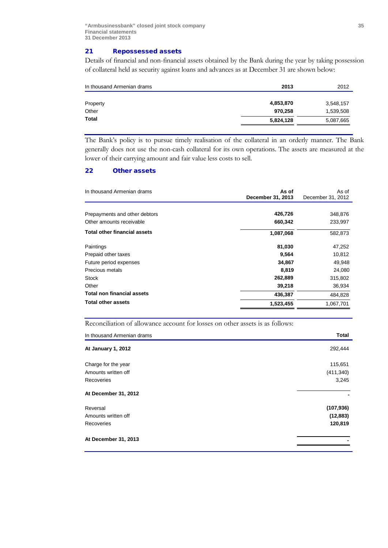## 21 Repossessed assets

Details of financial and non-financial assets obtained by the Bank during the year by taking possession of collateral held as security against loans and advances as at December 31 are shown below:

| 2013      | 2012      |
|-----------|-----------|
|           |           |
| 4,853,870 | 3,548,157 |
| 970,258   | 1,539,508 |
| 5,824,128 | 5,087,665 |
|           |           |

The Bank's policy is to pursue timely realisation of the collateral in an orderly manner. The Bank generally does not use the non-cash collateral for its own operations. The assets are measured at the lower of their carrying amount and fair value less costs to sell.

## 22 Other assets

| In thousand Armenian drams          | As of<br>December 31, 2013 | As of<br>December 31, 2012 |
|-------------------------------------|----------------------------|----------------------------|
|                                     |                            |                            |
| Prepayments and other debtors       | 426,726                    | 348,876                    |
| Other amounts receivable            | 660,342                    | 233,997                    |
| <b>Total other financial assets</b> | 1,087,068                  | 582,873                    |
| Paintings                           | 81,030                     | 47,252                     |
| Prepaid other taxes                 | 9,564                      | 10,812                     |
| Future period expenses              | 34,867                     | 49,948                     |
| Precious metals                     | 8,819                      | 24,080                     |
| <b>Stock</b>                        | 262,889                    | 315,802                    |
| Other                               | 39,218                     | 36,934                     |
| <b>Total non financial assets</b>   | 436,387                    | 484,828                    |
| <b>Total other assets</b>           | 1,523,455                  | 1,067,701                  |

Reconciliation of allowance account for losses on other assets is as follows:

| In thousand Armenian drams | <b>Total</b> |
|----------------------------|--------------|
| At January 1, 2012         | 292,444      |
| Charge for the year        | 115,651      |
| Amounts written off        | (411, 340)   |
| Recoveries                 | 3,245        |
| At December 31, 2012       |              |
| Reversal                   | (107, 936)   |
| Amounts written off        | (12, 883)    |
| Recoveries                 | 120,819      |
| At December 31, 2013       |              |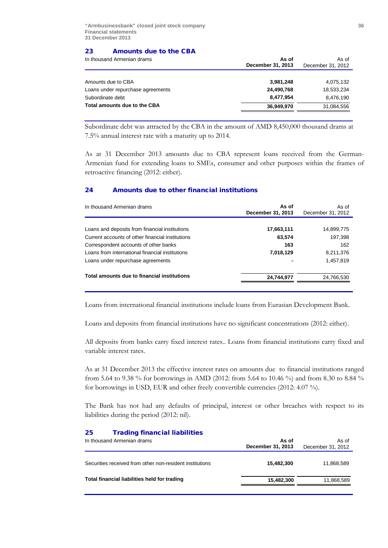## 23 Amounts due to the CBA

| As of<br>December 31, 2013 | As of<br>December 31, 2012 |
|----------------------------|----------------------------|
|                            |                            |
| 3,981,248                  | 4,075,132                  |
| 24,490,768                 | 18,533,234                 |
| 8.477.954                  | 8,476,190                  |
| 36,949,970                 | 31,084,556                 |
|                            |                            |

Subordinate debt was attracted by the CBA in the amount of AMD 8,450,000 thousand drams at 7.5% annual interest rate with a maturity up to 2014.

As at 31 December 2013 amounts due to CBA represent loans received from the German-Armenian fund for extending loans to SMEs, consumer and other purposes within the frames of retroactive financing (2012: either).

## 24 Amounts due to other financial institutions

| In thousand Armenian drams                       | As of<br>December 31, 2013 | As of<br>December 31, 2012 |
|--------------------------------------------------|----------------------------|----------------------------|
|                                                  |                            |                            |
| Loans and deposits from financial institutions   | 17,663,111                 | 14,899,775                 |
| Current accounts of other financial institutions | 63,574                     | 197,398                    |
| Correspondent accounts of other banks            | 163                        | 162                        |
| Loans from international financial institutions  | 7,018,129                  | 8,211,376                  |
| Loans under repurchase agreements                |                            | 1,457,819                  |
| Total amounts due to financial institutions      | 24,744,977                 | 24,766,530                 |
|                                                  |                            |                            |

Loans from international financial institutions include loans from Eurasian Development Bank.

Loans and deposits from financial institutions have no significant concentrations (2012: either).

All deposits from banks carry fixed interest rates.. Loans from financial institutions carry fixed and variable interest rates.

As at 31 December 2013 the effective interest rates on amounts due to financial institutions ranged from 5.64 to 9.38 % for borrowings in AMD (2012: from 5.64 to 10.46 %) and from 8.30 to 8.84 % for borrowings in USD, EUR and other freely convertible currencies (2012: 4.07 %).

The Bank has not had any defaults of principal, interest or other breaches with respect to its liabilities during the period (2012: nil).

## 25 Trading financial liabilities

| In thousand Armenian drams                               | As of<br>December 31, 2013 | As of<br>December 31, 2012 |  |
|----------------------------------------------------------|----------------------------|----------------------------|--|
| Securities received from other non-resident institutions | 15,482,300                 | 11.868.589                 |  |
| Total financial liabilities held for trading             | 15,482,300                 | 11,868,589                 |  |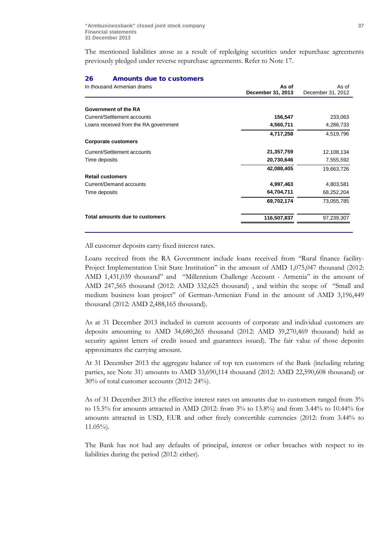The mentioned liabilities arose as a result of repledging securities under repurchase agreements previously pledged under reverse repurchase agreements. Refer to Note 17.

#### 26 Amounts due to customers

| In thousand Armenian drams            | As of<br>December 31, 2013 | As of<br>December 31, 2012 |  |
|---------------------------------------|----------------------------|----------------------------|--|
| Government of the RA                  |                            |                            |  |
| Current/Settlement accounts           | 156,547                    | 233,063                    |  |
| Loans received from the RA government | 4,560,711                  | 4,286,733                  |  |
|                                       | 4,717,258                  | 4,519,796                  |  |
| <b>Corporate customers</b>            |                            |                            |  |
| Current/Settlement accounts           | 21,357,759                 | 12,108,134                 |  |
| Time deposits                         | 20,730,646                 | 7,555,592                  |  |
|                                       | 42,088,405                 | 19,663,726                 |  |
| <b>Retail customers</b>               |                            |                            |  |
| Current/Demand accounts               | 4,997,463                  | 4,803,581                  |  |
| Time deposits                         | 64,704,711                 | 68,252,204                 |  |
|                                       | 69,702,174                 | 73,055,785                 |  |
| Total amounts due to customers        | 116,507,837                | 97,239,307                 |  |
|                                       |                            |                            |  |

All customer deposits carry fixed interest rates.

Loans received from the RA Government include loans received from "Rural finance facility-Project Implementation Unit State Institution" in the amount of AMD 1,075,047 thousand (2012: AMD 1,431,039 thousand" and "Millennium Challenge Account - Armenia" in the amount of AMD 247,565 thousand (2012: AMD 332,625 thousand) , and within the scope of "Small and medium business loan project" of German-Armenian Fund in the amount of AMD 3,196,449 thousand (2012: AMD 2,488,165 thousand).

As at 31 December 2013 included in current accounts of corporate and individual customers are deposits amounting to AMD 34,680,265 thousand (2012: AMD 39,270,469 thousand) held as security against letters of credit issued and guarantees issued). The fair value of those deposits approximates the carrying amount.

At 31 December 2013 the aggregate balance of top ten customers of the Bank (including relating parties, see Note 31) amounts to AMD 33,690,114 thousand (2012: AMD 22,590,608 thousand) or 30% of total customer accounts (2012: 24%).

As of 31 December 2013 the effective interest rates on amounts due to customers ranged from 3% to 15.5% for amounts attracted in AMD (2012: from  $3\%$  to 13.8%) and from 3.44% to 10.44% for amounts attracted in USD, EUR and other freely convertible currencies (2012: from 3.44% to 11.05%)*.*

The Bank has not had any defaults of principal, interest or other breaches with respect to its liabilities during the period (2012: either).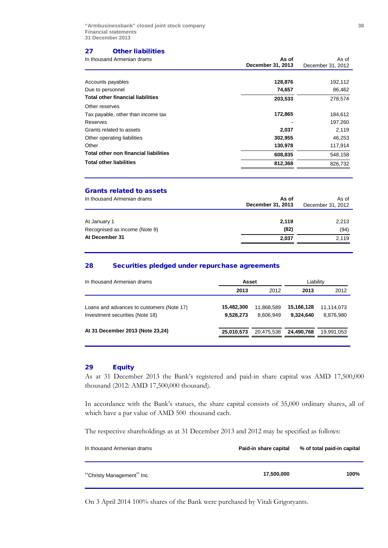## 27 Other liabilities

| In thousand Armenian drams                   | As of<br>December 31, 2013 | As of<br>December 31, 2012 |
|----------------------------------------------|----------------------------|----------------------------|
|                                              |                            |                            |
| Accounts payables                            | 128,876                    | 192,112                    |
| Due to personnel                             | 74,657                     | 86,462                     |
| <b>Total other financial liabilities</b>     | 203,533                    | 278,574                    |
| Other reserves                               |                            |                            |
| Tax payable, other than income tax           | 172,865                    | 184,612                    |
| Reserves                                     |                            | 197,260                    |
| Grants related to assets                     | 2,037                      | 2,119                      |
| Other operating liabilities                  | 302,955                    | 46,253                     |
| Other                                        | 130,978                    | 117,914                    |
| <b>Total other non financial liabilities</b> | 608,835                    | 548,158                    |
| <b>Total other liabilities</b>               | 812,368                    | 826.732                    |

### Grants related to assets

| In thousand Armenian drams    | As of<br>December 31, 2013 | As of<br>December 31, 2012 |
|-------------------------------|----------------------------|----------------------------|
|                               |                            |                            |
| At January 1                  | 2,119                      | 2,213                      |
| Recognised as income (Note 9) | (82)                       | (94)                       |
| At December 31                | 2,037                      | 2,119                      |
|                               |                            |                            |

## 28 Securities pledged under repurchase agreements

| In thousand Armenian drams                                                   | Asset                   |                         | Liability               |                         |
|------------------------------------------------------------------------------|-------------------------|-------------------------|-------------------------|-------------------------|
|                                                                              | 2013                    | 2012                    | 2013                    | 2012                    |
| Loans and advances to customers (Note 17)<br>Investment securities (Note 18) | 15,482,300<br>9,528,273 | 11.868.589<br>8.606.949 | 15,166,128<br>9.324.640 | 11,114,073<br>8.876.980 |
| At 31 December 2013 (Note 23,24)                                             | 25,010,573              | 20,475,538              | 24.490.768              | 19,991,053              |

## 29 Equity

As at 31 December 2013 the Bank's registered and paid-in share capital was AMD 17,500,000 thousand (2012: AMD 17,500,000 thousand).

In accordance with the Bank's statues, the share capital consists of 35,000 ordinary shares, all of which have a par value of AMD 500 thousand each.

The respective shareholdings as at 31 December 2013 and 2012 may be specified as follows:

| In thousand Armenian drams | Paid-in share capital | % of total paid-in capital |
|----------------------------|-----------------------|----------------------------|
| "Christy Management" Inc.  | 17,500,000            | 100%                       |

On 3 April 2014 100% shares of the Bank were purchased by Vitali Grigoryants.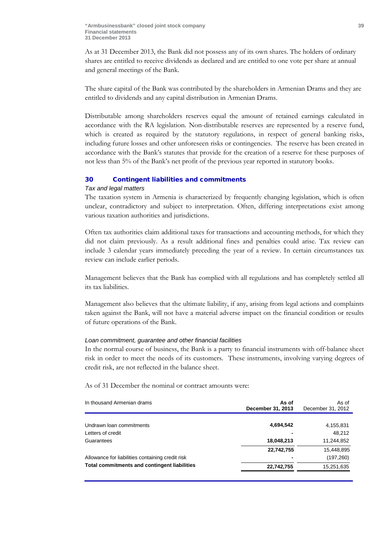As at 31 December 2013, the Bank did not possess any of its own shares. The holders of ordinary shares are entitled to receive dividends as declared and are entitled to one vote per share at annual and general meetings of the Bank.

The share capital of the Bank was contributed by the shareholders in Armenian Drams and they are entitled to dividends and any capital distribution in Armenian Drams.

Distributable among shareholders reserves equal the amount of retained earnings calculated in accordance with the RA legislation. Non-distributable reserves are represented by a reserve fund, which is created as required by the statutory regulations, in respect of general banking risks, including future losses and other unforeseen risks or contingencies. The reserve has been created in accordance with the Bank's statutes that provide for the creation of a reserve for these purposes of not less than 5% of the Bank's net profit of the previous year reported in statutory books.

## 30 Contingent liabilities and commitments

#### *Tax and legal matters*

The taxation system in Armenia is characterized by frequently changing legislation, which is often unclear, contradictory and subject to interpretation. Often, differing interpretations exist among various taxation authorities and jurisdictions.

Often tax authorities claim additional taxes for transactions and accounting methods, for which they did not claim previously. As a result additional fines and penalties could arise. Tax review can include 3 calendar years immediately preceding the year of a review. In certain circumstances tax review can include earlier periods.

Management believes that the Bank has complied with all regulations and has completely settled all its tax liabilities.

Management also believes that the ultimate liability, if any, arising from legal actions and complaints taken against the Bank, will not have a material adverse impact on the financial condition or results of future operations of the Bank.

## *Loan commitment, guarantee and other financial facilities*

In the normal course of business, the Bank is a party to financial instruments with off-balance sheet risk in order to meet the needs of its customers. These instruments, involving varying degrees of credit risk, are not reflected in the balance sheet.

As of 31 December the nominal or contract amounts were:

| In thousand Armenian drams                       | As of<br>December 31, 2013 | As of<br>December 31, 2012 |
|--------------------------------------------------|----------------------------|----------------------------|
|                                                  |                            |                            |
| Undrawn Ioan commitments                         | 4,694,542                  | 4,155,831                  |
| Letters of credit                                |                            | 48,212                     |
| Guarantees                                       | 18,048,213                 | 11,244,852                 |
|                                                  | 22,742,755                 | 15,448,895                 |
| Allowance for liabilities containing credit risk |                            | (197, 260)                 |
| Total commitments and contingent liabilities     | 22,742,755                 | 15,251,635                 |
|                                                  |                            |                            |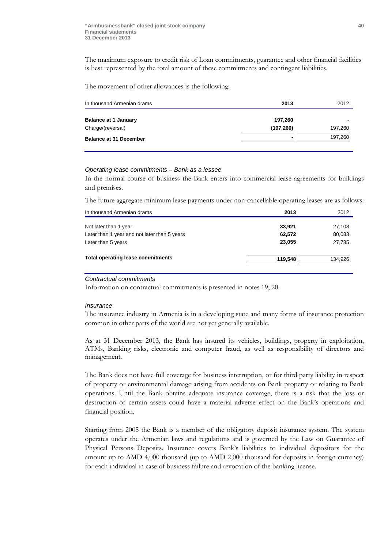The maximum exposure to credit risk of Loan commitments, guarantee and other financial facilities is best represented by the total amount of these commitments and contingent liabilities.

The movement of other allowances is the following:

| In thousand Armenian drams    | 2013       | 2012    |
|-------------------------------|------------|---------|
|                               |            |         |
| <b>Balance at 1 January</b>   | 197,260    |         |
| Charge/(reversal)             | (197, 260) | 197,260 |
| <b>Balance at 31 December</b> | ۰          | 197,260 |
|                               |            |         |

#### *Operating lease commitments – Bank as a lessee*

In the normal course of business the Bank enters into commercial lease agreements for buildings and premises.

The future aggregate minimum lease payments under non-cancellable operating leases are as follows:

| In thousand Armenian drams                   | 2013    | 2012    |
|----------------------------------------------|---------|---------|
| Not later than 1 year                        | 33,921  | 27,108  |
| Later than 1 year and not later than 5 years | 62,572  | 80,083  |
| Later than 5 years                           | 23.055  | 27,735  |
| <b>Total operating lease commitments</b>     | 119.548 | 134,926 |

#### *Contractual commitments*

Information on contractual commitments is presented in notes 19, 20.

#### *Insurance*

The insurance industry in Armenia is in a developing state and many forms of insurance protection common in other parts of the world are not yet generally available.

As at 31 December 2013, the Bank has insured its vehicles, buildings, property in exploitation, ATMs, Banking risks, electronic and computer fraud, as well as responsibility of directors and management.

The Bank does not have full coverage for business interruption, or for third party liability in respect of property or environmental damage arising from accidents on Bank property or relating to Bank operations. Until the Bank obtains adequate insurance coverage, there is a risk that the loss or destruction of certain assets could have a material adverse effect on the Bank's operations and financial position.

Starting from 2005 the Bank is a member of the obligatory deposit insurance system. The system operates under the Armenian laws and regulations and is governed by the Law on Guarantee of Physical Persons Deposits. Insurance covers Bank's liabilities to individual depositors for the amount up to AMD 4,000 thousand (up to AMD 2,000 thousand for deposits in foreign currency) for each individual in case of business failure and revocation of the banking license.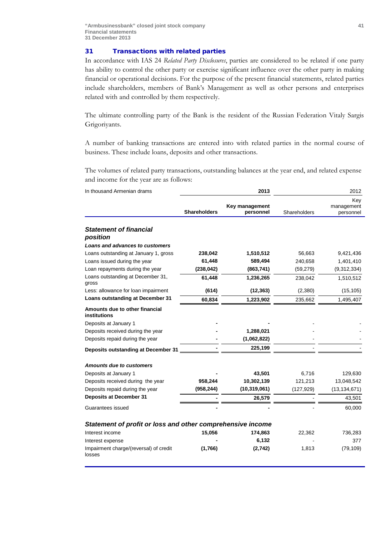## 31 Transactions with related parties

In accordance with IAS 24 *Related Party Disclosures*, parties are considered to be related if one party has ability to control the other party or exercise significant influence over the other party in making financial or operational decisions. For the purpose of the present financial statements, related parties include shareholders, members of Bank's Management as well as other persons and enterprises related with and controlled by them respectively.

The ultimate controlling party of the Bank is the resident of the Russian Federation Vitaly Sargis Grigoriyants.

A number of banking transactions are entered into with related parties in the normal course of business. These include loans, deposits and other transactions.

The volumes of related party transactions, outstanding balances at the year end, and related expense and income for the year are as follows:

| In thousand Armenian drams                                 |                     | 2013                        | 2012         |                                |  |
|------------------------------------------------------------|---------------------|-----------------------------|--------------|--------------------------------|--|
|                                                            | <b>Shareholders</b> | Key management<br>personnel | Shareholders | Key<br>management<br>personnel |  |
|                                                            |                     |                             |              |                                |  |
| <b>Statement of financial</b><br>position                  |                     |                             |              |                                |  |
| <b>Loans and advances to customers</b>                     |                     |                             |              |                                |  |
| Loans outstanding at January 1, gross                      | 238,042             | 1,510,512                   | 56,663       | 9,421,436                      |  |
| Loans issued during the year                               | 61,448              | 589,494                     | 240,658      | 1,401,410                      |  |
| Loan repayments during the year                            | (238, 042)          | (863, 741)                  | (59, 279)    | (9,312,334)                    |  |
| Loans outstanding at December 31,<br>gross                 | 61,448              | 1,236,265                   | 238,042      | 1,510,512                      |  |
| Less: allowance for loan impairment                        | (614)               | (12, 363)                   | (2,380)      | (15, 105)                      |  |
| Loans outstanding at December 31                           | 60,834              | 1,223,902                   | 235,662      | 1,495,407                      |  |
| Amounts due to other financial<br>institutions             |                     |                             |              |                                |  |
| Deposits at January 1                                      |                     |                             |              |                                |  |
| Deposits received during the year                          |                     | 1,288,021                   |              |                                |  |
| Deposits repaid during the year                            |                     | (1,062,822)                 |              |                                |  |
| Deposits outstanding at December 31                        |                     | 225,199                     |              |                                |  |
| <b>Amounts due to customers</b>                            |                     |                             |              |                                |  |
| Deposits at January 1                                      |                     | 43,501                      | 6,716        | 129,630                        |  |
| Deposits received during the year                          | 958,244             | 10,302,139                  | 121,213      | 13,048,542                     |  |
| Deposits repaid during the year                            | (958, 244)          | (10, 319, 061)              | (127, 929)   | (13, 134, 671)                 |  |
| <b>Deposits at December 31</b>                             |                     | 26,579                      |              | 43,501                         |  |
| Guarantees issued                                          |                     |                             |              | 60,000                         |  |
| Statement of profit or loss and other comprehensive income |                     |                             |              |                                |  |
| Interest income                                            | 15,056              | 174,863                     | 22,362       | 736,283                        |  |
| Interest expense                                           |                     | 6,132                       |              | 377                            |  |
| Impairment charge/(reversal) of credit<br>losses           | (1,766)             | (2,742)                     | 1,813        | (79, 109)                      |  |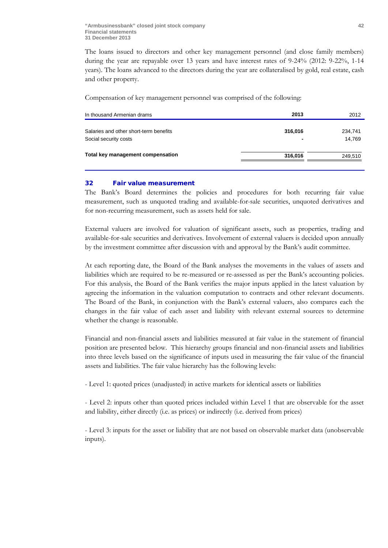The loans issued to directors and other key management personnel (and close family members) during the year are repayable over 13 years and have interest rates of 9-24% (2012: 9-22%, 1-14 years). The loans advanced to the directors during the year are collateralised by gold, real estate, cash and other property.

Compensation of key management personnel was comprised of the following:

| In thousand Armenian drams             | 2013    | 2012    |
|----------------------------------------|---------|---------|
| Salaries and other short-term benefits | 316,016 | 234,741 |
| Social security costs                  | ۰       | 14.769  |
| Total key management compensation      | 316,016 | 249,510 |

## 32 Fair value measurement

The Bank's Board determines the policies and procedures for both recurring fair value measurement, such as unquoted trading and available-for-sale securities, unquoted derivatives and for non-recurring measurement, such as assets held for sale.

External valuers are involved for valuation of significant assets, such as properties, trading and available-for-sale securities and derivatives. Involvement of external valuers is decided upon annually by the investment committee after discussion with and approval by the Bank's audit committee.

At each reporting date, the Board of the Bank analyses the movements in the values of assets and liabilities which are required to be re-measured or re-assessed as per the Bank's accounting policies. For this analysis, the Board of the Bank verifies the major inputs applied in the latest valuation by agreeing the information in the valuation computation to contracts and other relevant documents. The Board of the Bank, in conjunction with the Bank's external valuers, also compares each the changes in the fair value of each asset and liability with relevant external sources to determine whether the change is reasonable.

Financial and non-financial assets and liabilities measured at fair value in the statement of financial position are presented below. This hierarchy groups financial and non-financial assets and liabilities into three levels based on the significance of inputs used in measuring the fair value of the financial assets and liabilities. The fair value hierarchy has the following levels:

- Level 1: quoted prices (unadjusted) in active markets for identical assets or liabilities

- Level 2: inputs other than quoted prices included within Level 1 that are observable for the asset and liability, either directly (i.e. as prices) or indirectly (i.e. derived from prices)

- Level 3: inputs for the asset or liability that are not based on observable market data (unobservable inputs).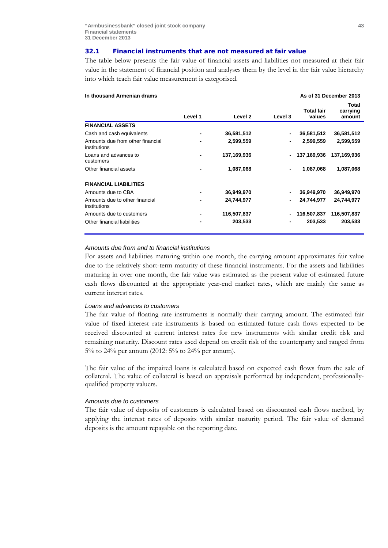### 32.1 Financial instruments that are not measured at fair value

The table below presents the fair value of financial assets and liabilities not measured at their fair value in the statement of financial position and analyses them by the level in the fair value hierarchy into which teach fair value measurement is categorised.

| In thousand Armenian drams                       |         |             |         |                             | As of 31 December 2013      |
|--------------------------------------------------|---------|-------------|---------|-----------------------------|-----------------------------|
|                                                  | Level 1 | Level 2     | Level 3 | <b>Total fair</b><br>values | Total<br>carrying<br>amount |
| <b>FINANCIAL ASSETS</b>                          |         |             |         |                             |                             |
| Cash and cash equivalents                        |         | 36,581,512  |         | 36,581,512                  | 36,581,512                  |
| Amounts due from other financial<br>institutions |         | 2,599,559   |         | 2,599,559                   | 2,599,559                   |
| Loans and advances to<br>customers               |         | 137,169,936 |         | 137,169,936                 | 137.169.936                 |
| Other financial assets                           |         | 1,087,068   |         | 1,087,068                   | 1,087,068                   |
| <b>FINANCIAL LIABILITIES</b>                     |         |             |         |                             |                             |
| Amounts due to CBA                               |         | 36,949,970  |         | 36,949,970                  | 36,949,970                  |
| Amounts due to other financial<br>institutions   |         | 24,744,977  |         | 24,744,977                  | 24,744,977                  |
| Amounts due to customers                         |         | 116,507,837 |         | 116,507,837                 | 116,507,837                 |
| Other financial liabilities                      |         | 203,533     |         | 203,533                     | 203,533                     |

#### *Amounts due from and to financial institutions*

For assets and liabilities maturing within one month, the carrying amount approximates fair value due to the relatively short-term maturity of these financial instruments. For the assets and liabilities maturing in over one month, the fair value was estimated as the present value of estimated future cash flows discounted at the appropriate year-end market rates, which are mainly the same as current interest rates.

#### *Loans and advances to customers*

The fair value of floating rate instruments is normally their carrying amount. The estimated fair value of fixed interest rate instruments is based on estimated future cash flows expected to be received discounted at current interest rates for new instruments with similar credit risk and remaining maturity. Discount rates used depend on credit risk of the counterparty and ranged from 5% to 24% per annum (2012: 5% to 24% per annum).

The fair value of the impaired loans is calculated based on expected cash flows from the sale of collateral. The value of collateral is based on appraisals performed by independent, professionallyqualified property valuers.

## *Amounts due to customers*

The fair value of deposits of customers is calculated based on discounted cash flows method, by applying the interest rates of deposits with similar maturity period. The fair value of demand deposits is the amount repayable on the reporting date.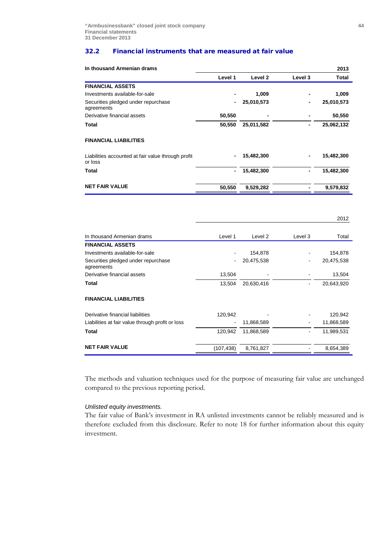#### 32.2 Financial instruments that are measured at fair value

| In thousand Armenian drams                                    |         |            |         | 2013       |
|---------------------------------------------------------------|---------|------------|---------|------------|
|                                                               | Level 1 | Level 2    | Level 3 | Total      |
| <b>FINANCIAL ASSETS</b>                                       |         |            |         |            |
| Investments available-for-sale                                |         | 1,009      |         | 1,009      |
| Securities pledged under repurchase<br>agreements             |         | 25,010,573 |         | 25,010,573 |
| Derivative financial assets                                   | 50,550  |            |         | 50,550     |
| Total                                                         | 50,550  | 25,011,582 |         | 25,062,132 |
| <b>FINANCIAL LIABILITIES</b>                                  |         |            |         |            |
| Liabilities accounted at fair value through profit<br>or loss |         | 15,482,300 |         | 15,482,300 |
| Total                                                         | ٠       | 15,482,300 |         | 15,482,300 |
| <b>NET FAIR VALUE</b>                                         | 50,550  | 9,529,282  |         | 9,579,832  |

|                                                   |            |            |         | 2012       |
|---------------------------------------------------|------------|------------|---------|------------|
| In thousand Armenian drams                        | Level 1    | Level 2    | Level 3 | Total      |
| <b>FINANCIAL ASSETS</b>                           |            |            |         |            |
| Investments available-for-sale                    |            | 154,878    |         | 154,878    |
| Securities pledged under repurchase<br>agreements |            | 20,475,538 |         | 20,475,538 |
| Derivative financial assets                       | 13,504     |            |         | 13,504     |
| Total                                             | 13,504     | 20,630,416 |         | 20,643,920 |
| <b>FINANCIAL LIABILITIES</b>                      |            |            |         |            |
| Derivative financial liabilities                  | 120,942    |            |         | 120,942    |
| Liabilities at fair value through profit or loss  |            | 11,868,589 |         | 11,868,589 |
| Total                                             | 120,942    | 11,868,589 |         | 11,989,531 |
| <b>NET FAIR VALUE</b>                             | (107, 438) | 8,761,827  |         | 8,654,389  |

The methods and valuation techniques used for the purpose of measuring fair value are unchanged compared to the previous reporting period.

## *Unlisted equity investments.*

The fair value of Bank's investment in RA unlisted investments cannot be reliably measured and is therefore excluded from this disclosure. Refer to note 18 for further information about this equity investment.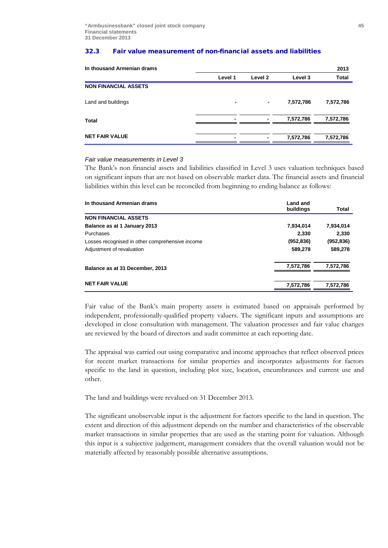## 32.3 Fair value measurement of non-financial assets and liabilities

| In thousand Armenian drams  |         |         |           | 2013         |
|-----------------------------|---------|---------|-----------|--------------|
|                             | Level 1 | Level 2 | Level 3   | <b>Total</b> |
| <b>NON FINANCIAL ASSETS</b> |         |         |           |              |
| Land and buildings          | ٠       | -       | 7,572,786 | 7,572,786    |
| Total                       | -       | -       | 7,572,786 | 7,572,786    |
| <b>NET FAIR VALUE</b>       | ۰       | -       | 7,572,786 | 7,572,786    |

## *Fair value measurements in Level 3*

The Bank's non financial assets and liabilities classified in Level 3 uses valuation techniques based on significant inputs that are not based on observable market data. The financial assets and financial liabilities within this level can be reconciled from beginning to ending balance as follows:

| In thousand Armenian drams                      | Land and<br>buildings | Total      |
|-------------------------------------------------|-----------------------|------------|
| <b>NON FINANCIAL ASSETS</b>                     |                       |            |
| Balance as at 1 January 2013                    | 7,934,014             | 7,934,014  |
| Purchases                                       | 2.330                 | 2,330      |
| Losses recognised in other comprehensive income | (952, 836)            | (952, 836) |
| Adjustment of revaluation                       | 589,278               | 589.278    |
| Balance as at 31 December, 2013                 | 7,572,786             | 7,572,786  |
| <b>NET FAIR VALUE</b>                           |                       |            |
|                                                 | 7,572,786             | 7,572,786  |

Fair value of the Bank's main property assets is estimated based on appraisals performed by independent, professionally-qualified property valuers. The significant inputs and assumptions are developed in close consultation with management. The valuation processes and fair value changes are reviewed by the board of directors and audit committee at each reporting date.

The appraisal was carried out using comparative and income approaches that reflect observed prices for recent market transactions for similar properties and incorporates adjustments for factors specific to the land in question, including plot size, location, encumbrances and current use and other.

The land and buildings were revalued on 31 December 2013.

The significant unobservable input is the adjustment for factors specific to the land in question. The extent and direction of this adjustment depends on the number and characteristics of the observable market transactions in similar properties that are used as the starting point for valuation. Although this input is a subjective judgement, management considers that the overall valuation would not be materially affected by reasonably possible alternative assumptions.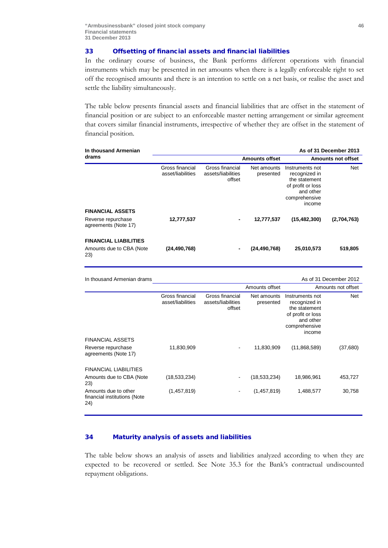## 33 Offsetting of financial assets and financial liabilities

In the ordinary course of business, the Bank performs different operations with financial instruments which may be presented in net amounts when there is a legally enforceable right to set off the recognised amounts and there is an intention to settle on a net basis, or realise the asset and settle the liability simultaneously.

The table below presents financial assets and financial liabilities that are offset in the statement of financial position or are subject to an enforceable master netting arrangement or similar agreement that covers similar financial instruments, irrespective of whether they are offset in the statement of financial position.

| In thousand Armenian                                            |                                      |                                                 |                          |                                                                                                                | As of 31 December 2013    |
|-----------------------------------------------------------------|--------------------------------------|-------------------------------------------------|--------------------------|----------------------------------------------------------------------------------------------------------------|---------------------------|
| drams                                                           |                                      |                                                 | <b>Amounts offset</b>    |                                                                                                                | <b>Amounts not offset</b> |
|                                                                 | Gross financial<br>asset/liabilities | Gross financial<br>assets/liabilities<br>offset | Net amounts<br>presented | Instruments not<br>recognized in<br>the statement<br>of profit or loss<br>and other<br>comprehensive<br>income | <b>Net</b>                |
| <b>FINANCIAL ASSETS</b>                                         |                                      |                                                 |                          |                                                                                                                |                           |
| Reverse repurchase<br>agreements (Note 17)                      | 12,777,537                           | ٠                                               | 12,777,537               | (15, 482, 300)                                                                                                 | (2,704,763)               |
| <b>FINANCIAL LIABILITIES</b><br>Amounts due to CBA (Note<br>23) | (24, 490, 768)                       |                                                 | (24, 490, 768)           | 25,010,573                                                                                                     | 519,805                   |

| In thousand Armenian drams                                  |                                      |                                                 |                          |                                                                                                                | As of 31 December 2012 |
|-------------------------------------------------------------|--------------------------------------|-------------------------------------------------|--------------------------|----------------------------------------------------------------------------------------------------------------|------------------------|
|                                                             |                                      |                                                 | Amounts offset           |                                                                                                                | Amounts not offset     |
|                                                             | Gross financial<br>asset/liabilities | Gross financial<br>assets/liabilities<br>offset | Net amounts<br>presented | Instruments not<br>recognized in<br>the statement<br>of profit or loss<br>and other<br>comprehensive<br>income | Net                    |
| <b>FINANCIAL ASSETS</b>                                     |                                      |                                                 |                          |                                                                                                                |                        |
| Reverse repurchase<br>agreements (Note 17)                  | 11,830,909                           |                                                 | 11,830,909               | (11,868,589)                                                                                                   | (37,680)               |
| <b>FINANCIAL LIABILITIES</b>                                |                                      |                                                 |                          |                                                                                                                |                        |
| Amounts due to CBA (Note<br>23)                             | (18, 533, 234)                       |                                                 | (18, 533, 234)           | 18,986,961                                                                                                     | 453,727                |
| Amounts due to other<br>financial institutions (Note<br>24) | (1,457,819)                          |                                                 | (1,457,819)              | 1,488,577                                                                                                      | 30,758                 |

## 34 Maturity analysis of assets and liabilities

The table below shows an analysis of assets and liabilities analyzed according to when they are expected to be recovered or settled. See Note 35.3 for the Bank's contractual undiscounted repayment obligations.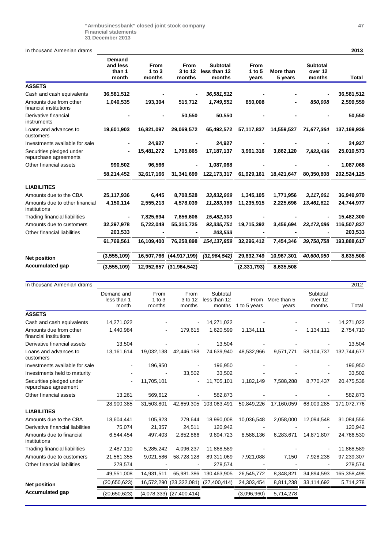In thousand Armenian drams **2013**

|                                                   | Demand<br>and less<br>than 1<br>month | <b>From</b><br>1 to $3$<br>months | From<br>3 to 12<br>months | <b>Subtotal</b><br>less than 12<br>months | <b>From</b><br>1 to $5$<br>years | More than<br>5 years | <b>Subtotal</b><br>over 12<br>months | Total       |
|---------------------------------------------------|---------------------------------------|-----------------------------------|---------------------------|-------------------------------------------|----------------------------------|----------------------|--------------------------------------|-------------|
| <b>ASSETS</b>                                     |                                       |                                   |                           |                                           |                                  |                      |                                      |             |
| Cash and cash equivalents                         | 36,581,512                            |                                   |                           | 36,581,512                                |                                  |                      | -                                    | 36,581,512  |
| Amounts due from other<br>financial institutions  | 1,040,535                             | 193,304                           | 515,712                   | 1,749,551                                 | 850,008                          |                      | 850,008                              | 2,599,559   |
| Derivative financial<br>instruments               |                                       |                                   | 50,550                    | 50,550                                    |                                  |                      |                                      | 50,550      |
| Loans and advances to<br>customers                | 19,601,903                            | 16,821,097                        | 29,069,572                | 65,492,572                                | 57,117,837                       | 14,559,527           | 71,677,364                           | 137,169,936 |
| Investments available for sale                    |                                       | 24,927                            |                           | 24,927                                    |                                  |                      |                                      | 24,927      |
| Securities pledged under<br>repurchase agreements |                                       | 15,481,272                        | 1,705,865                 | 17,187,137                                | 3,961,316                        | 3,862,120            | 7,823,436                            | 25,010,573  |
| Other financial assets                            | 990,502                               | 96,566                            |                           | 1,087,068                                 |                                  |                      |                                      | 1,087,068   |
|                                                   | 58,214,452                            | 32,617,166                        | 31,341,699                | 122, 173, 317                             | 61,929,161                       | 18,421,647           | 80,350,808                           | 202,524,125 |
| <b>LIABILITIES</b>                                |                                       |                                   |                           |                                           |                                  |                      |                                      |             |
| Amounts due to the CBA                            | 25,117,936                            | 6,445                             | 8,708,528                 | 33,832,909                                | 1,345,105                        | 1,771,956            | 3,117,061                            | 36,949,970  |
| Amounts due to other financial<br>institutions    | 4,150,114                             | 2,555,213                         | 4,578,039                 | 11,283,366                                | 11,235,915                       | 2,225,696            | 13,461,611                           | 24,744,977  |
| Trading financial liabilities                     | $\blacksquare$                        | 7,825,694                         | 7,656,606                 | 15,482,300                                |                                  |                      | -                                    | 15,482,300  |
| Amounts due to customers                          | 32,297,978                            | 5,722,048                         | 55,315,725                | 93,335,751                                | 19,715,392                       | 3,456,694            | 23, 172, 086                         | 116,507,837 |
| Other financial liabilities                       | 203,533                               |                                   |                           | 203,533                                   |                                  |                      |                                      | 203,533     |
|                                                   | 61,769,561                            | 16,109,400                        | 76,258,898                | 154, 137, 859                             | 32,296,412                       | 7,454,346            | 39,750,758                           | 193,888,617 |
| <b>Net position</b>                               | (3,555,109)                           | 16,507,766                        | (44, 917, 199)            | (31, 964, 542)                            | 29,632,749                       | 10,967,301           | 40,600,050                           | 8,635,508   |
| <b>Accumulated gap</b>                            | (3,555,109)                           |                                   | 12,952,657 (31,964,542)   |                                           | (2,331,793)                      | 8,635,508            |                                      |             |

| In thousand Armenian drams                       |                |             |                |                |              |             |            | 2012        |
|--------------------------------------------------|----------------|-------------|----------------|----------------|--------------|-------------|------------|-------------|
|                                                  | Demand and     | From        | From           | Subtotal       |              |             | Subtotal   |             |
|                                                  | less than 1    | $1$ to $3$  | 3 to 12        | less than 12   | From         | More than 5 | over 12    |             |
|                                                  | month          | months      | months         | months         | 1 to 5 years | years       | months     | Total       |
| <b>ASSETS</b>                                    |                |             |                |                |              |             |            |             |
| Cash and cash equivalents                        | 14,271,022     |             |                | 14,271,022     |              |             |            | 14,271,022  |
| Amounts due from other<br>financial institutions | 1,440,984      |             | 179,615        | 1,620,599      | 1,134,111    |             | 1,134,111  | 2,754,710   |
| Derivative financial assets                      | 13,504         |             |                | 13,504         |              |             |            | 13,504      |
| Loans and advances to<br>customers               | 13,161,614     | 19,032,138  | 42,446,188     | 74,639,940     | 48,532,966   | 9,571,771   | 58,104,737 | 132,744,677 |
| Investments available for sale                   |                | 196,950     |                | 196,950        |              |             |            | 196,950     |
| Investments held to maturity                     |                |             | 33,502         | 33,502         |              |             |            | 33,502      |
| Securities pledged under<br>repurchase agreement | $\blacksquare$ | 11,705,101  |                | 11,705,101     | 1,182,149    | 7,588,288   | 8,770,437  | 20,475,538  |
| Other financial assets                           | 13,261         | 569,612     |                | 582,873        |              |             |            | 582,873     |
|                                                  | 28,900,385     | 31,503,801  | 42,659,305     | 103,063,491    | 50,849,226   | 17,160,059  | 68,009,285 | 171,072,776 |
| <b>LIABILITIES</b>                               |                |             |                |                |              |             |            |             |
| Amounts due to the CBA                           | 18,604,441     | 105,923     | 279,644        | 18,990,008     | 10,036,548   | 2,058,000   | 12,094,548 | 31,084,556  |
| Derivative financial liabilities                 | 75,074         | 21,357      | 24,511         | 120,942        |              |             |            | 120,942     |
| Amounts due to financial<br>institutions         | 6,544,454      | 497,403     | 2,852,866      | 9,894,723      | 8,588,136    | 6,283,671   | 14,871,807 | 24,766,530  |
| <b>Trading financial liabilities</b>             | 2,487,110      | 5,285,242   | 4,096,237      | 11,868,589     |              |             |            | 11,868,589  |
| Amounts due to customers                         | 21,561,355     | 9,021,586   | 58,728,128     | 89,311,069     | 7,921,088    | 7,150       | 7,928,238  | 97,239,307  |
| Other financial liabilities                      | 278,574        |             |                | 278,574        |              |             |            | 278,574     |
|                                                  | 49,551,008     | 14,931,511  | 65,981,386     | 130,463,905    | 26,545,772   | 8,348,821   | 34,894,593 | 165,358,498 |
| <b>Net position</b>                              | (20,650,623)   | 16,572,290  | (23, 322, 081) | (27, 400, 414) | 24,303,454   | 8,811,238   | 33,114,692 | 5,714,278   |
| <b>Accumulated gap</b>                           | (20,650,623)   | (4,078,333) | (27, 400, 414) |                | (3,096,960)  | 5,714,278   |            |             |
|                                                  |                |             |                |                |              |             |            |             |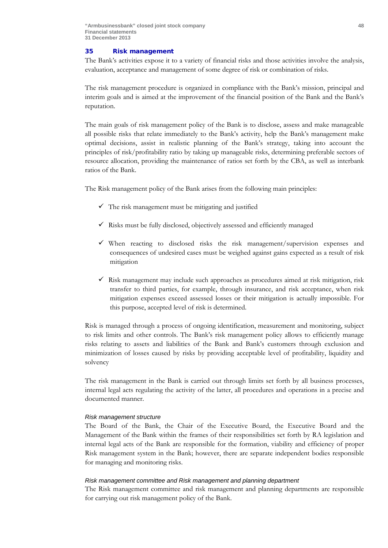## 35 Risk management

The Bank's activities expose it to a variety of financial risks and those activities involve the analysis, evaluation, acceptance and management of some degree of risk or combination of risks.

The risk management procedure is organized in compliance with the Bank's mission, principal and interim goals and is aimed at the improvement of the financial position of the Bank and the Bank's reputation.

The main goals of risk management policy of the Bank is to disclose, assess and make manageable all possible risks that relate immediately to the Bank's activity, help the Bank's management make optimal decisions, assist in realistic planning of the Bank's strategy, taking into account the principles of risk/profitability ratio by taking up manageable risks, determining preferable sectors of resource allocation, providing the maintenance of ratios set forth by the CBA, as well as interbank ratios of the Bank.

The Risk management policy of the Bank arises from the following main principles:

- $\checkmark$  The risk management must be mitigating and justified
- $\checkmark$  Risks must be fully disclosed, objectively assessed and efficiently managed
- $\checkmark$  When reacting to disclosed risks the risk management/supervision expenses and consequences of undesired cases must be weighed against gains expected as a result of risk mitigation
- $\checkmark$  Risk management may include such approaches as procedures aimed at risk mitigation, risk transfer to third parties, for example, through insurance, and risk acceptance, when risk mitigation expenses exceed assessed losses or their mitigation is actually impossible. For this purpose, accepted level of risk is determined.

Risk is managed through a process of ongoing identification, measurement and monitoring, subject to risk limits and other controls. The Bank's risk management policy allows to efficiently manage risks relating to assets and liabilities of the Bank and Bank's customers through exclusion and minimization of losses caused by risks by providing acceptable level of profitability, liquidity and solvency

The risk management in the Bank is carried out through limits set forth by all business processes, internal legal acts regulating the activity of the latter, all procedures and operations in a precise and documented manner.

## *Risk management structure*

The Board of the Bank, the Chair of the Executive Board, the Executive Board and the Management of the Bank within the frames of their responsibilities set forth by RA legislation and internal legal acts of the Bank are responsible for the formation, viability and efficiency of proper Risk management system in the Bank; however, there are separate independent bodies responsible for managing and monitoring risks.

## *Risk management committee and Risk management and planning department*

The Risk management committee and risk management and planning departments are responsible for carrying out risk management policy of the Bank.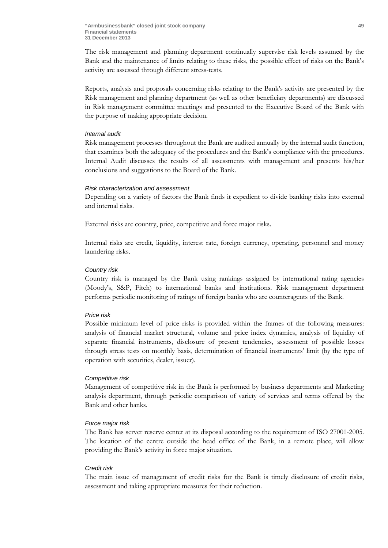The risk management and planning department continually supervise risk levels assumed by the Bank and the maintenance of limits relating to these risks, the possible effect of risks on the Bank's activity are assessed through different stress-tests.

Reports, analysis and proposals concerning risks relating to the Bank's activity are presented by the Risk management and planning department (as well as other beneficiary departments) are discussed in Risk management committee meetings and presented to the Executive Board of the Bank with the purpose of making appropriate decision.

## *Internal audit*

Risk management processes throughout the Bank are audited annually by the internal audit function, that examines both the adequacy of the procedures and the Bank's compliance with the procedures. Internal Audit discusses the results of all assessments with management and presents his/her conclusions and suggestions to the Board of the Bank.

#### *Risk characterization and assessment*

Depending on a variety of factors the Bank finds it expedient to divide banking risks into external and internal risks.

External risks are country, price, competitive and force major risks.

Internal risks are credit, liquidity, interest rate, foreign currency, operating, personnel and money laundering risks.

#### *Country risk*

Country risk is managed by the Bank using rankings assigned by international rating agencies (Moody's, S&P, Fitch) to international banks and institutions. Risk management department performs periodic monitoring of ratings of foreign banks who are counteragents of the Bank.

#### *Price risk*

Possible minimum level of price risks is provided within the frames of the following measures: analysis of financial market structural, volume and price index dynamics, analysis of liquidity of separate financial instruments, disclosure of present tendencies, assessment of possible losses through stress tests on monthly basis, determination of financial instruments' limit (by the type of operation with securities, dealer, issuer).

#### *Competitive risk*

Management of competitive risk in the Bank is performed by business departments and Marketing analysis department, through periodic comparison of variety of services and terms offered by the Bank and other banks.

#### *Force major risk*

The Bank has server reserve center at its disposal according to the requirement of ISO 27001-2005. The location of the centre outside the head office of the Bank, in a remote place, will allow providing the Bank's activity in force major situation.

#### *Credit risk*

The main issue of management of credit risks for the Bank is timely disclosure of credit risks, assessment and taking appropriate measures for their reduction.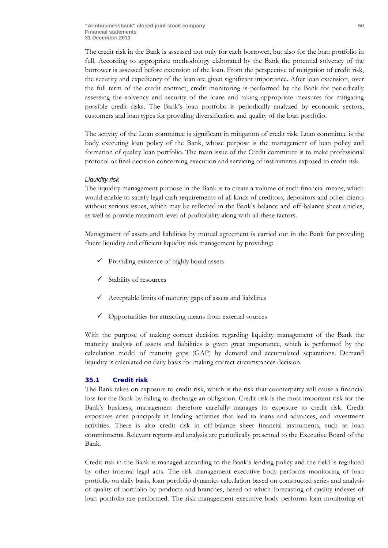The credit risk in the Bank is assessed not only for each borrower, but also for the loan portfolio in full. According to appropriate methodology elaborated by the Bank the potential solvency of the borrower is assessed before extension of the loan. From the perspective of mitigation of credit risk, the security and expediency of the loan are given significant importance. After loan extension, over the full term of the credit contract, credit monitoring is performed by the Bank for periodically assessing the solvency and security of the loans and taking appropriate measures for mitigating possible credit risks. The Bank's loan portfolio is periodically analyzed by economic sectors, customers and loan types for providing diversification and quality of the loan portfolio.

The activity of the Loan committee is significant in mitigation of credit risk. Loan committee is the body executing loan policy of the Bank, whose purpose is the management of loan policy and formation of quality loan portfolio. The main issue of the Credit committee is to make professional protocol or final decision concerning execution and servicing of instruments exposed to credit risk.

#### *Liquidity risk*

The liquidity management purpose in the Bank is to create a volume of such financial means, which would enable to satisfy legal cash requirements of all kinds of creditors, depositors and other clients without serious issues, which may be reflected in the Bank's balance and off-balance sheet articles, as well as provide maximum level of profitability along with all these factors.

Management of assets and liabilities by mutual agreement is carried out in the Bank for providing fluent liquidity and efficient liquidity risk management by providing:

- $\checkmark$  Providing existence of highly liquid assets
- $\checkmark$  Stability of resources
- $\checkmark$  Acceptable limits of maturity gaps of assets and liabilities
- $\checkmark$  Opportunities for attracting means from external sources

With the purpose of making correct decision regarding liquidity management of the Bank the maturity analysis of assets and liabilities is given great importance, which is performed by the calculation model of maturity gaps (GAP) by demand and accumulated separations. Demand liquidity is calculated on daily basis for making correct circumstances decision.

## 35.1 Credit risk

The Bank takes on exposure to credit risk, which is the risk that counterparty will cause a financial loss for the Bank by failing to discharge an obligation. Credit risk is the most important risk for the Bank's business; management therefore carefully manages its exposure to credit risk. Credit exposures arise principally in lending activities that lead to loans and advances, and investment activities. There is also credit risk in off-balance sheet financial instruments, such as loan commitments. Relevant reports and analysis are periodically presented to the Executive Board of the Bank.

Credit risk in the Bank is managed according to the Bank's lending policy and the field is regulated by other internal legal acts. The risk management executive body performs monitoring of loan portfolio on daily basis, loan portfolio dynamics calculation based on constructed series and analysis of quality of portfolio by products and branches, based on which forecasting of quality indexes of loan portfolio are performed. The risk management executive body performs loan monitoring of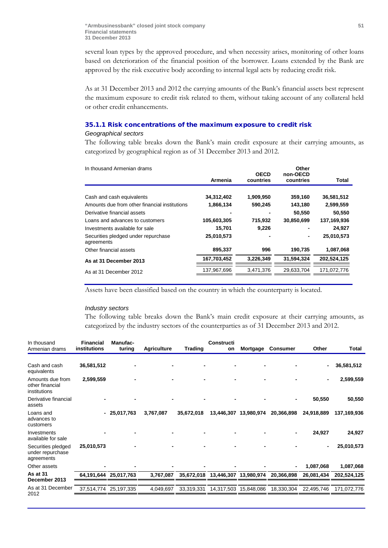several loan types by the approved procedure, and when necessity arises, monitoring of other loans based on deterioration of the financial position of the borrower. Loans extended by the Bank are approved by the risk executive body according to internal legal acts by reducing credit risk.

As at 31 December 2013 and 2012 the carrying amounts of the Bank's financial assets best represent the maximum exposure to credit risk related to them, without taking account of any collateral held or other credit enhancements.

## 35.1.1 Risk concentrations of the maximum exposure to credit risk

#### *Geographical sectors*

The following table breaks down the Bank's main credit exposure at their carrying amounts, as categorized by geographical region as of 31 December 2013 and 2012.

| In thousand Armenian drams                        |             |             | Other      |              |
|---------------------------------------------------|-------------|-------------|------------|--------------|
|                                                   |             | <b>OECD</b> | non-OECD   |              |
|                                                   | Armenia     | countries   | countries  | <b>Total</b> |
|                                                   |             |             |            |              |
| Cash and cash equivalents                         | 34,312,402  | 1,909,950   | 359,160    | 36,581,512   |
| Amounts due from other financial institutions     | 1,866,134   | 590,245     | 143,180    | 2,599,559    |
| Derivative financial assets                       |             |             | 50,550     | 50,550       |
| Loans and advances to customers                   | 105,603,305 | 715,932     | 30,850,699 | 137,169,936  |
| Investments available for sale                    | 15,701      | 9,226       |            | 24,927       |
| Securities pledged under repurchase<br>agreements | 25,010,573  |             |            | 25,010,573   |
| Other financial assets                            | 895,337     | 996         | 190,735    | 1,087,068    |
| As at 31 December 2013                            | 167,703,452 | 3,226,349   | 31.594.324 | 202.524.125  |
| As at 31 December 2012                            | 137,967,696 | 3,471,376   | 29,633,704 | 171,072,776  |
|                                                   |             |             |            |              |

Assets have been classified based on the country in which the counterparty is located.

#### *Industry sectors*

The following table breaks down the Bank's main credit exposure at their carrying amounts, as categorized by the industry sectors of the counterparties as of 31 December 2013 and 2012.

| In thousand                                          | <b>Financial</b> | Manufac-              |                    |                | Constructi                       |            |                 |                |             |
|------------------------------------------------------|------------------|-----------------------|--------------------|----------------|----------------------------------|------------|-----------------|----------------|-------------|
| Armenian drams                                       | institutions     | turing                | <b>Agriculture</b> | <b>Trading</b> | on                               | Mortgage   | <b>Consumer</b> | Other          | Total       |
| Cash and cash<br>equivalents                         | 36,581,512       |                       |                    |                |                                  |            |                 | $\blacksquare$ | 36,581,512  |
| Amounts due from<br>other financial<br>institutions  | 2,599,559        |                       |                    |                |                                  |            |                 |                | 2,599,559   |
| Derivative financial<br>assets                       |                  |                       |                    |                |                                  |            |                 | 50,550         | 50,550      |
| Loans and<br>advances to<br>customers                |                  | $-25,017,763$         | 3,767,087          | 35,672,018     | 13,446,307                       | 13,980,974 | 20,366,898      | 24,918,889     | 137,169,936 |
| Investments<br>available for sale                    |                  |                       |                    |                |                                  |            |                 | 24,927         | 24,927      |
| Securities pledged<br>under repurchase<br>agreements | 25,010,573       |                       |                    |                |                                  |            |                 |                | 25,010,573  |
| Other assets                                         |                  |                       |                    |                |                                  |            | $\blacksquare$  | 1,087,068      | 1,087,068   |
| As at 31<br>December 2013                            |                  | 64,191,644 25,017,763 | 3,767,087          |                | 35,672,018 13,446,307 13,980,974 |            | 20,366,898      | 26,081,434     | 202,524,125 |
| As at 31 December<br>2012                            | 37,514,774       | 25,197,335            | 4,049,697          | 33,319,331     | 14,317,503                       | 15,848,086 | 18,330,304      | 22,495,746     | 171,072,776 |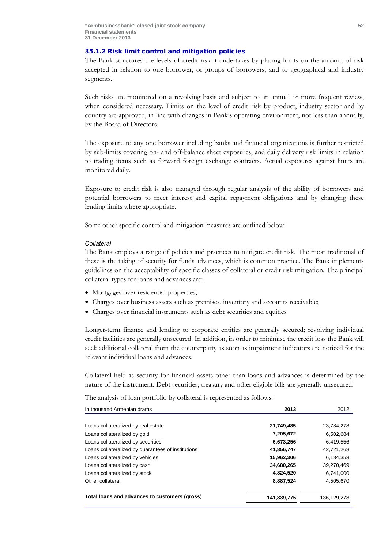## 35.1.2 Risk limit control and mitigation policies

The Bank structures the levels of credit risk it undertakes by placing limits on the amount of risk accepted in relation to one borrower, or groups of borrowers, and to geographical and industry segments.

Such risks are monitored on a revolving basis and subject to an annual or more frequent review, when considered necessary. Limits on the level of credit risk by product, industry sector and by country are approved, in line with changes in Bank's operating environment, not less than annually, by the Board of Directors.

The exposure to any one borrower including banks and financial organizations is further restricted by sub-limits covering on- and off-balance sheet exposures, and daily delivery risk limits in relation to trading items such as forward foreign exchange contracts. Actual exposures against limits are monitored daily.

Exposure to credit risk is also managed through regular analysis of the ability of borrowers and potential borrowers to meet interest and capital repayment obligations and by changing these lending limits where appropriate.

Some other specific control and mitigation measures are outlined below.

#### *Collateral*

The Bank employs a range of policies and practices to mitigate credit risk. The most traditional of these is the taking of security for funds advances, which is common practice. The Bank implements guidelines on the acceptability of specific classes of collateral or credit risk mitigation. The principal collateral types for loans and advances are:

- Mortgages over residential properties;
- Charges over business assets such as premises, inventory and accounts receivable;
- Charges over financial instruments such as debt securities and equities

Longer-term finance and lending to corporate entities are generally secured; revolving individual credit facilities are generally unsecured. In addition, in order to minimise the credit loss the Bank will seek additional collateral from the counterparty as soon as impairment indicators are noticed for the relevant individual loans and advances.

Collateral held as security for financial assets other than loans and advances is determined by the nature of the instrument. Debt securities, treasury and other eligible bills are generally unsecured.

The analysis of loan portfolio by collateral is represented as follows:

| In thousand Armenian drams                         | 2013        | 2012          |
|----------------------------------------------------|-------------|---------------|
|                                                    |             |               |
| Loans collateralized by real estate                | 21,749,485  | 23,784,278    |
| Loans collateralized by gold                       | 7,205,672   | 6.502.684     |
| Loans collateralized by securities                 | 6,673,256   | 6.419.556     |
| Loans collateralized by guarantees of institutions | 41,856,747  | 42,721,268    |
| Loans collateralized by vehicles                   | 15,962,306  | 6,184,353     |
| Loans collateralized by cash                       | 34,680,265  | 39.270.469    |
| Loans collateralized by stock                      | 4,824,520   | 6.741.000     |
| Other collateral                                   | 8,887,524   | 4,505,670     |
| Total loans and advances to customers (gross)      | 141,839,775 | 136, 129, 278 |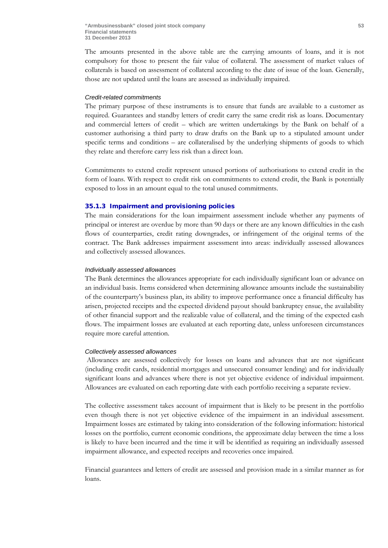The amounts presented in the above table are the carrying amounts of loans, and it is not compulsory for those to present the fair value of collateral. The assessment of market values of collaterals is based on assessment of collateral according to the date of issue of the loan. Generally, those are not updated until the loans are assessed as individually impaired.

## *Credit-related commitments*

The primary purpose of these instruments is to ensure that funds are available to a customer as required. Guarantees and standby letters of credit carry the same credit risk as loans. Documentary and commercial letters of credit – which are written undertakings by the Bank on behalf of a customer authorising a third party to draw drafts on the Bank up to a stipulated amount under specific terms and conditions – are collateralised by the underlying shipments of goods to which they relate and therefore carry less risk than a direct loan.

Commitments to extend credit represent unused portions of authorisations to extend credit in the form of loans. With respect to credit risk on commitments to extend credit, the Bank is potentially exposed to loss in an amount equal to the total unused commitments.

#### 35.1.3 Impairment and provisioning policies

The main considerations for the loan impairment assessment include whether any payments of principal or interest are overdue by more than 90 days or there are any known difficulties in the cash flows of counterparties, credit rating downgrades, or infringement of the original terms of the contract. The Bank addresses impairment assessment into areas: individually assessed allowances and collectively assessed allowances.

#### *Individually assessed allowances*

The Bank determines the allowances appropriate for each individually significant loan or advance on an individual basis. Items considered when determining allowance amounts include the sustainability of the counterparty's business plan, its ability to improve performance once a financial difficulty has arisen, projected receipts and the expected dividend payout should bankruptcy ensue, the availability of other financial support and the realizable value of collateral, and the timing of the expected cash flows. The impairment losses are evaluated at each reporting date, unless unforeseen circumstances require more careful attention.

#### *Collectively assessed allowances*

Allowances are assessed collectively for losses on loans and advances that are not significant (including credit cards, residential mortgages and unsecured consumer lending) and for individually significant loans and advances where there is not yet objective evidence of individual impairment. Allowances are evaluated on each reporting date with each portfolio receiving a separate review.

The collective assessment takes account of impairment that is likely to be present in the portfolio even though there is not yet objective evidence of the impairment in an individual assessment. Impairment losses are estimated by taking into consideration of the following information: historical losses on the portfolio, current economic conditions, the approximate delay between the time a loss is likely to have been incurred and the time it will be identified as requiring an individually assessed impairment allowance, and expected receipts and recoveries once impaired.

Financial guarantees and letters of credit are assessed and provision made in a similar manner as for loans.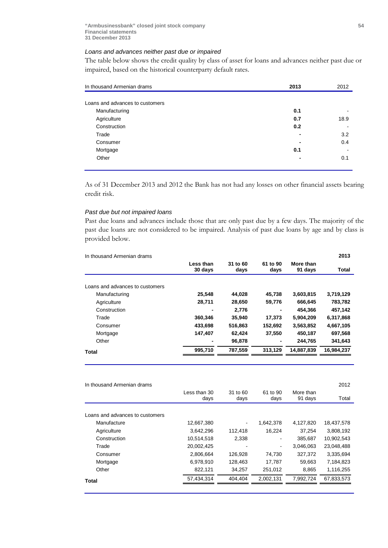## *Loans and advances neither past due or impaired*

The table below shows the credit quality by class of asset for loans and advances neither past due or impaired, based on the historical counterparty default rates.

| In thousand Armenian drams      | 2013 | 2012 |
|---------------------------------|------|------|
|                                 |      |      |
| Loans and advances to customers |      |      |
| Manufacturing                   | 0.1  |      |
| Agriculture                     | 0.7  | 18.9 |
| Construction                    | 0.2  |      |
| Trade                           |      | 3.2  |
| Consumer                        |      | 0.4  |
| Mortgage                        | 0.1  |      |
| Other                           |      | 0.1  |

As of 31 December 2013 and 2012 the Bank has not had any losses on other financial assets bearing credit risk.

### *Past due but not impaired loans*

Past due loans and advances include those that are only past due by a few days. The majority of the past due loans are not considered to be impaired. Analysis of past due loans by age and by class is provided below.

| In thousand Armenian drams      |                      |                  |                  |                      | 2013         |
|---------------------------------|----------------------|------------------|------------------|----------------------|--------------|
|                                 | Less than<br>30 days | 31 to 60<br>days | 61 to 90<br>days | More than<br>91 days | <b>Total</b> |
| Loans and advances to customers |                      |                  |                  |                      |              |
|                                 |                      |                  |                  |                      |              |
| Manufacturing                   | 25.548               | 44.028           | 45.738           | 3,603,815            | 3,719,129    |
| Agriculture                     | 28.711               | 28.650           | 59,776           | 666.645              | 783,782      |
| Construction                    | ۰                    | 2,776            | ٠                | 454,366              | 457,142      |
| Trade                           | 360.346              | 35.940           | 17.373           | 5,904,209            | 6,317,868    |
| Consumer                        | 433,698              | 516,863          | 152,692          | 3,563,852            | 4,667,105    |
| Mortgage                        | 147.407              | 62.424           | 37,550           | 450,187              | 697,568      |
| Other                           | ۰                    | 96,878           | -                | 244,765              | 341,643      |
| Total                           | 995.710              | 787.559          | 313.129          | 14.887.839           | 16,984,237   |
|                                 |                      |                  |                  |                      |              |

| In thousand Armenian drams      |                      |                  |                  |                      | 2012       |
|---------------------------------|----------------------|------------------|------------------|----------------------|------------|
|                                 | Less than 30<br>days | 31 to 60<br>days | 61 to 90<br>days | More than<br>91 days | Total      |
|                                 |                      |                  |                  |                      |            |
| Loans and advances to customers |                      |                  |                  |                      |            |
| Manufacture                     | 12,667,380           |                  | 1.642.378        | 4,127,820            | 18,437,578 |
| Agriculture                     | 3,642,296            | 112.418          | 16,224           | 37,254               | 3,808,192  |
| Construction                    | 10.514.518           | 2.338            | ۰                | 385,687              | 10.902.543 |
| Trade                           | 20,002,425           |                  | ۰                | 3.046.063            | 23.048.488 |
| Consumer                        | 2,806,664            | 126.928          | 74.730           | 327,372              | 3.335.694  |
| Mortgage                        | 6.978.910            | 128.463          | 17,787           | 59.663               | 7.184.823  |
| Other                           | 822,121              | 34,257           | 251,012          | 8,865                | 1,116,255  |
| Total                           | 57,434,314           | 404,404          | 2,002,131        | 7,992,724            | 67,833,573 |
|                                 |                      |                  |                  |                      |            |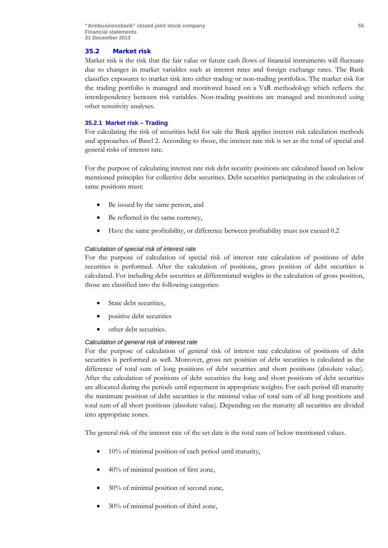## 35.2 Market risk

Market risk is the risk that the fair value or future cash flows of financial instruments will fluctuate due to changes in market variables such as interest rates and foreign exchange rates. The Bank classifies exposures to market risk into either trading or non-trading portfolios. The market risk for the trading portfolio is managed and monitored based on a VaR methodology which reflects the interdependency between risk variables. Non-trading positions are managed and monitored using other sensitivity analyses.

## **35.2.1 Market risk – Trading**

For calculating the risk of securities held for sale the Bank applies interest risk calculation methods and approaches of Basel 2. According to those, the interest rate risk is set as the total of special and general risks of interest rate.

For the purpose of calculating interest rate risk debt security positions are calculated based on below mentioned principles for collective debt securities. Debt securities participating in the calculation of same positions must:

- Be issued by the same person, and
- Be reflected in the same currency,
- Have the same profitability, or difference between profitability must not exceed 0.2

## *Calculation of special risk of interest rate*

For the purpose of calculation of special risk of interest rate calculation of positions of debt securities is performed. After the calculation of positions, gross position of debt securities is calculated. For including debt securities at differentiated weights in the calculation of gross position, those are classified into the following categories:

- State debt securities,
- positive debt securities
- other debt securities.

## *Calculation of general risk of interest rate*

For the purpose of calculation of general risk of interest rate calculation of positions of debt securities is performed as well. Moreover, gross net position of debt securities is calculated as the difference of total sum of long positions of debt securities and short positions (absolute value). After the calculation of positions of debt securities the long and short positions of debt securities are allocated during the periods until repayment in appropriate weights. For each period till maturity the minimum position of debt securities is the minimal value of total sum of all long positions and total sum of all short positions (absolute value). Depending on the maturity all securities are divided into appropriate zones.

The general risk of the interest rate of the set date is the total sum of below mentioned values.

- 10% of minimal position of each period until maturity,
- 40% of minimal position of first zone,
- 30% of minimal position of second zone,
- 30% of minimal position of third zone,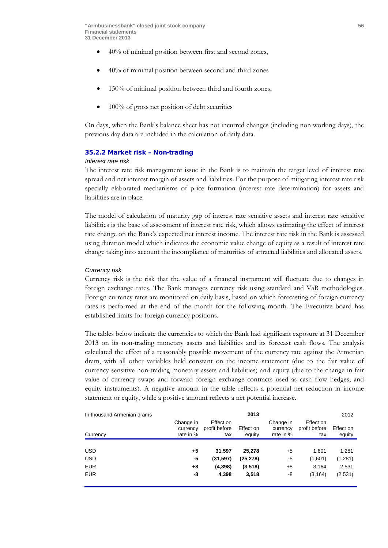- 40% of minimal position between first and second zones,
- 40% of minimal position between second and third zones
- 150% of minimal position between third and fourth zones,
- 100% of gross net position of debt securities

On days, when the Bank's balance sheet has not incurred changes (including non working days), the previous day data are included in the calculation of daily data.

#### 35.2.2 Market risk – Non-trading

## *Interest rate risk*

The interest rate risk management issue in the Bank is to maintain the target level of interest rate spread and net interest margin of assets and liabilities. For the purpose of mitigating interest rate risk specially elaborated mechanisms of price formation (interest rate determination) for assets and liabilities are in place.

The model of calculation of maturity gap of interest rate sensitive assets and interest rate sensitive liabilities is the base of assessment of interest rate risk, which allows estimating the effect of interest rate change on the Bank's expected net interest income. The interest rate risk in the Bank is assessed using duration model which indicates the economic value change of equity as a result of interest rate change taking into account the incompliance of maturities of attracted liabilities and allocated assets.

#### *Currency risk*

Currency risk is the risk that the value of a financial instrument will fluctuate due to changes in foreign exchange rates. The Bank manages currency risk using standard and VaR methodologies. Foreign currency rates are monitored on daily basis, based on which forecasting of foreign currency rates is performed at the end of the month for the following month. The Executive board has established limits for foreign currency positions.

The tables below indicate the currencies to which the Bank had significant exposure at 31 December 2013 on its non-trading monetary assets and liabilities and its forecast cash flows. The analysis calculated the effect of a reasonably possible movement of the currency rate against the Armenian dram, with all other variables held constant on the income statement (due to the fair value of currency sensitive non-trading monetary assets and liabilities) and equity (due to the change in fair value of currency swaps and forward foreign exchange contracts used as cash flow hedges, and equity instruments). A negative amount in the table reflects a potential net reduction in income statement or equity, while a positive amount reflects a net potential increase.

| In thousand Armenian drams |                                    |                                   | 2013                |                                    |                                   | 2012                |
|----------------------------|------------------------------------|-----------------------------------|---------------------|------------------------------------|-----------------------------------|---------------------|
| Currency                   | Change in<br>currency<br>rate in % | Effect on<br>profit before<br>tax | Effect on<br>equity | Change in<br>currency<br>rate in % | Effect on<br>profit before<br>tax | Effect on<br>equity |
|                            |                                    |                                   |                     |                                    |                                   |                     |
| <b>USD</b>                 | +5                                 | 31,597                            | 25,278              | +5                                 | 1.601                             | 1,281               |
| <b>USD</b>                 | -5                                 | (31, 597)                         | (25, 278)           | -5                                 | (1,601)                           | (1,281)             |
| <b>EUR</b>                 | +8                                 | (4,398)                           | (3,518)             | +8                                 | 3.164                             | 2,531               |
| <b>EUR</b>                 | -8                                 | 4,398                             | 3,518               | -8                                 | (3, 164)                          | (2,531)             |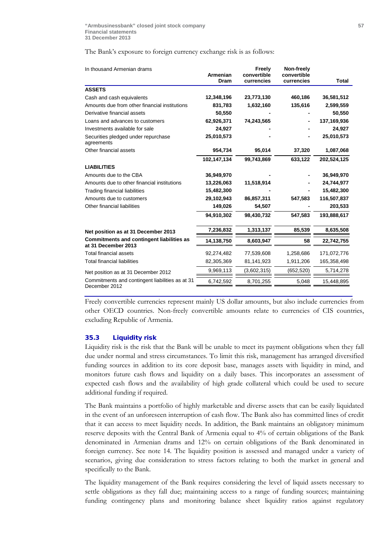The Bank's exposure to foreign currency exchange risk is as follows:

| In thousand Armenian drams                                              | Armenian<br>Dram | Freely<br>convertible<br>currencies | Non-freely<br>convertible<br>currencies | <b>Total</b> |
|-------------------------------------------------------------------------|------------------|-------------------------------------|-----------------------------------------|--------------|
| <b>ASSETS</b>                                                           |                  |                                     |                                         |              |
|                                                                         |                  |                                     |                                         |              |
| Cash and cash equivalents                                               | 12,348,196       | 23,773,130                          | 460,186                                 | 36,581,512   |
| Amounts due from other financial institutions                           | 831,783          | 1,632,160                           | 135,616                                 | 2,599,559    |
| Derivative financial assets                                             | 50,550           |                                     |                                         | 50,550       |
| Loans and advances to customers                                         | 62,926,371       | 74,243,565                          |                                         | 137,169,936  |
| Investments available for sale                                          | 24,927           |                                     |                                         | 24,927       |
| Securities pledged under repurchase<br>agreements                       | 25,010,573       |                                     |                                         | 25,010,573   |
| Other financial assets                                                  | 954,734          | 95,014                              | 37,320                                  | 1,087,068    |
|                                                                         | 102,147,134      | 99,743,869                          | 633,122                                 | 202,524,125  |
| <b>LIABILITIES</b>                                                      |                  |                                     |                                         |              |
| Amounts due to the CBA                                                  | 36,949,970       |                                     |                                         | 36,949,970   |
| Amounts due to other financial institutions                             | 13,226,063       | 11,518,914                          |                                         | 24,744,977   |
| Trading financial liabilities                                           | 15,482,300       |                                     |                                         | 15,482,300   |
| Amounts due to customers                                                | 29,102,943       | 86,857,311                          | 547,583                                 | 116,507,837  |
| Other financial liabilities                                             | 149,026          | 54,507                              |                                         | 203,533      |
|                                                                         | 94,910,302       | 98,430,732                          | 547,583                                 | 193,888,617  |
| Net position as at 31 December 2013                                     | 7,236,832        | 1,313,137                           | 85,539                                  | 8,635,508    |
| <b>Commitments and contingent liabilities as</b><br>at 31 December 2013 | 14,138,750       | 8,603,947                           | 58                                      | 22,742,755   |
| Total financial assets                                                  | 92,274,482       | 77,539,608                          | 1,258,686                               | 171,072,776  |
| <b>Total financial liabilities</b>                                      | 82,305,369       | 81,141,923                          | 1,911,206                               | 165,358,498  |
| Net position as at 31 December 2012                                     | 9,969,113        | (3,602,315)                         | (652, 520)                              | 5,714,278    |
| Commitments and contingent liabilities as at 31<br>December 2012        | 6,742,592        | 8,701,255                           | 5,048                                   | 15,448,895   |

Freely convertible currencies represent mainly US dollar amounts, but also include currencies from other OECD countries. Non-freely convertible amounts relate to currencies of CIS countries, excluding Republic of Armenia.

#### 35.3 Liquidity risk

Liquidity risk is the risk that the Bank will be unable to meet its payment obligations when they fall due under normal and stress circumstances. To limit this risk, management has arranged diversified funding sources in addition to its core deposit base, manages assets with liquidity in mind, and monitors future cash flows and liquidity on a daily bases. This incorporates an assessment of expected cash flows and the availability of high grade collateral which could be used to secure additional funding if required.

The Bank maintains a portfolio of highly marketable and diverse assets that can be easily liquidated in the event of an unforeseen interruption of cash flow. The Bank also has committed lines of credit that it can access to meet liquidity needs. In addition, the Bank maintains an obligatory minimum reserve deposits with the Central Bank of Armenia equal to 4% of certain obligations of the Bank denominated in Armenian drams and 12% on certain obligations of the Bank denominated in foreign currency. See note 14. The liquidity position is assessed and managed under a variety of scenarios, giving due consideration to stress factors relating to both the market in general and specifically to the Bank.

The liquidity management of the Bank requires considering the level of liquid assets necessary to settle obligations as they fall due; maintaining access to a range of funding sources; maintaining funding contingency plans and monitoring balance sheet liquidity ratios against regulatory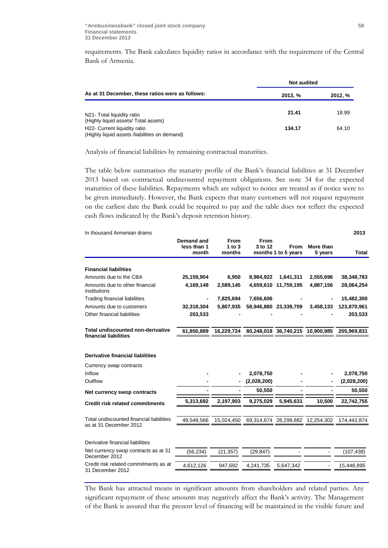requirements. The Bank calculates liquidity ratios in accordance with the requirement of the Central Bank of Armenia.

|                                                                               | <b>Not audited</b> |         |  |  |
|-------------------------------------------------------------------------------|--------------------|---------|--|--|
| As at 31 December, these ratios were as follows:                              | 2013, %            | 2012, % |  |  |
|                                                                               |                    |         |  |  |
| N21- Total liquidity ratio                                                    | 21.41              | 18.99   |  |  |
| (Highly liquid assets/ Total assets)                                          |                    |         |  |  |
| H22- Current liquidity ratio<br>(Highly liquid assets /liabilities on demand) | 134.17             | 64.10   |  |  |

Analysis of financial liabilities by remaining contractual maturities.

The table below summarises the maturity profile of the Bank's financial liabilities at 31 December 2013 based on contractual undiscounted repayment obligations. See note 34 for the expected maturities of these liabilities. Repayments which are subject to notice are treated as if notice were to be given immediately. However, the Bank expects that many customers will not request repayment on the earliest date the Bank could be required to pay and the table does not reflect the expected cash flows indicated by the Bank's deposit retention history.

| In thousand Armenian drams                                 |                                    |                                     |                        |                                  |                      | 2013        |
|------------------------------------------------------------|------------------------------------|-------------------------------------|------------------------|----------------------------------|----------------------|-------------|
|                                                            | Demand and<br>less than 1<br>month | <b>From</b><br>$1$ to $3$<br>months | <b>From</b><br>3 to 12 | From<br>months 1 to 5 years      | More than<br>5 years | Total       |
|                                                            |                                    |                                     |                        |                                  |                      |             |
| <b>Financial liabilities</b>                               |                                    |                                     |                        |                                  |                      |             |
| Amounts due to the CBA                                     | 25,159,904                         | 6,950                               | 8,984,922              | 1,641,311                        | 2,555,696            | 38,348,783  |
| Amounts due to other financial<br>institutions             | 4,169,148                          | 2,589,145                           | 4,659,610              | 11,759,195                       | 4,887,156            | 28,064,254  |
| Trading financial liabilities                              |                                    | 7,825,694                           | 7,656,606              |                                  |                      | 15,482,300  |
| Amounts due to customers                                   | 32,318,304                         | 5,807,935                           |                        | 58,946,880 23,339,709            | 3,458,133            | 123,870,961 |
| Other financial liabilities                                | 203,533                            |                                     |                        |                                  |                      | 203,533     |
| Total undiscounted non-derivative<br>financial liabilities | 61,850,889                         | 16,229,724                          |                        | 80,248,018 36,740,215 10,900,985 |                      | 205.969.831 |
| <b>Derivative financial liabilities</b>                    |                                    |                                     |                        |                                  |                      |             |
| Currency swap contracts                                    |                                    |                                     |                        |                                  |                      |             |
| Inflow                                                     |                                    |                                     | 2,078,750              |                                  |                      | 2,078,750   |
| Outflow                                                    |                                    |                                     | (2,028,200)            |                                  |                      | (2,028,200) |
| Net currency swop contracts                                |                                    |                                     | 50,550                 |                                  |                      | 50,550      |
| <b>Credit risk related commitments</b>                     | 5,313,692                          | 2,197,903                           | 9,275,029              | 5.945.631                        | 10,500               | 22,742,755  |
| Total undiscounted financial liabilities                   | 49,549,566                         | 15,024,450                          |                        | 69,314,674 28,299,882 12,254,302 |                      | 174,442,874 |
| as at 31 December 2012                                     |                                    |                                     |                        |                                  |                      |             |
| Derivative financial liabilities                           |                                    |                                     |                        |                                  |                      |             |
| Net currency swop contracts as at 31<br>December 2012      | (56, 234)                          | (21, 357)                           | (29, 847)              |                                  |                      | (107,438)   |
| Credit risk related commitments as at<br>31 December 2012  | 4,612,126                          | 947,692                             | 4,241,735              | 5,647,342                        |                      | 15,448,895  |

The Bank has attracted means in significant amounts from shareholders and related parties. Any significant repayment of these amounts may negatively affect the Bank's activity. The Management of the Bank is assured that the present level of financing will be maintained in the visible future and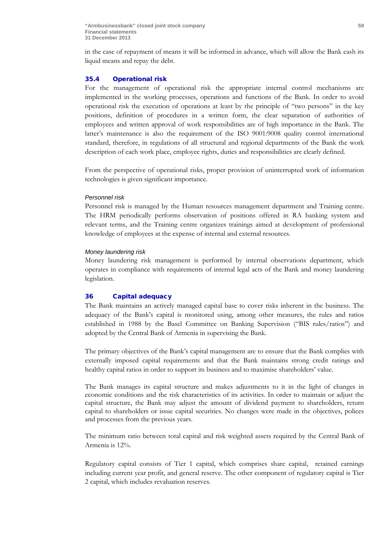in the case of repayment of means it will be informed in advance, which will allow the Bank cash its liquid means and repay the debt.

## 35.4 Operational risk

For the management of operational risk the appropriate internal control mechanisms are implemented in the working processes, operations and functions of the Bank. In order to avoid operational risk the execution of operations at least by the principle of "two persons" in the key positions, definition of procedures in a written form, the clear separation of authorities of employees and written approval of work responsibilities are of high importance in the Bank. The latter's maintenance is also the requirement of the ISO 9001:9008 quality control international standard, therefore, in regulations of all structural and regional departments of the Bank the work description of each work place, employee rights, duties and responsibilities are clearly defined.

From the perspective of operational risks, proper provision of uninterrupted work of information technologies is given significant importance.

#### *Personnel risk*

Personnel risk is managed by the Human resources management department and Training centre. The HRM periodically performs observation of positions offered in RA banking system and relevant terms, and the Training centre organizes trainings aimed at development of professional knowledge of employees at the expense of internal and external resources.

#### *Money laundering risk*

Money laundering risk management is performed by internal observations department, which operates in compliance with requirements of internal legal acts of the Bank and money laundering legislation.

## 36 Capital adequacy

The Bank maintains an actively managed capital base to cover risks inherent in the business. The adequacy of the Bank's capital is monitored using, among other measures, the rules and ratios established in 1988 by the Basel Committee on Banking Supervision ("BIS rules/ratios") and adopted by the Central Bank of Armenia in supervising the Bank.

The primary objectives of the Bank's capital management are to ensure that the Bank complies with externally imposed capital requirements and that the Bank maintains strong credit ratings and healthy capital ratios in order to support its business and to maximise shareholders' value.

The Bank manages its capital structure and makes adjustments to it in the light of changes in economic conditions and the risk characteristics of its activities. In order to maintain or adjust the capital structure, the Bank may adjust the amount of dividend payment to shareholders, return capital to shareholders or issue capital securities. No changes were made in the objectives, polices and processes from the previous years.

The minimum ratio between total capital and risk weighted assets required by the Central Bank of Armenia is 12%.

Regulatory capital consists of Tier 1 capital, which comprises share capital, retained earnings including current year profit, and general reserve. The other component of regulatory capital is Tier 2 capital, which includes revaluation reserves.